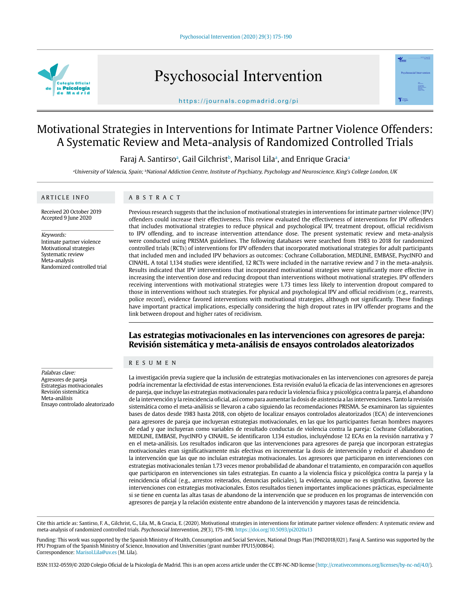

Psychosocial Intervention



### https://journals.copmadrid.org/pi

# Motivational Strategies in Interventions for Intimate Partner Violence Offenders: A Systematic Review and Meta-analysis of Randomized Controlled Trials

Faraj A. Santirsoª, Gail Gilchristʰ, Marisol Lilaª, and Enrique Graciaª

aUniversity of Valencia, Spain; <sup>b</sup>National Addiction Centre, Institute of Psychiatry, Psychology and Neuroscience, King's College London, UK

### ARTICLE INFO

# ABSTRACT

Received 20 October 2019 Accepted 9 June 2020

Keywords: Intimate partner violence Motivational strategies Systematic review Meta-analysis Randomized controlled trial

Previous research suggests that the inclusion of motivational strategies in interventions for intimate partner violence (IPV) offenders could increase their effectiveness. This review evaluated the effectiveness of interventions for IPV offenders that includes motivational strategies to reduce physical and psychological IPV, treatment dropout, official recidivism to IPV offending, and to increase intervention attendance dose. The present systematic review and meta-analysis were conducted using PRISMA guidelines. The following databases were searched from 1983 to 2018 for randomized controlled trials (RCTs) of interventions for IPV offenders that incorporated motivational strategies for adult participants that included men and included IPV behaviors as outcomes: Cochrane Collaboration, MEDLINE, EMBASE, PsycINFO and CINAHL. A total 1,134 studies were identified, 12 RCTs were included in the narrative review and 7 in the meta-analysis. Results indicated that IPV interventions that incorporated motivational strategies were significantly more effective in increasing the intervention dose and reducing dropout than interventions without motivational strategies. IPV offenders receiving interventions with motivational strategies were 1.73 times less likely to intervention dropout compared to those in interventions without such strategies. For physical and psychological IPV and official recidivism (e.g., rearrests, police record), evidence favored interventions with motivational strategies, although not significantly. These findings have important practical implications, especially considering the high dropout rates in IPV offender programs and the link between dropout and higher rates of recidivism.

# **Las estrategias motivacionales en las intervenciones con agresores de pareja: Revisión sistemática y meta-análisis de ensayos controlados aleatorizados**

### RESUMEN

La investigación previa sugiere que la inclusión de estrategias motivacionales en las intervenciones con agresores de pareja podría incrementar la efectividad de estas intervenciones. Esta revisión evaluó la eficacia de las intervenciones en agresores de pareja, que incluye las estrategias motivacionales para reducir la violencia física y psicológica contra la pareja, el abandono de la intervención y la reincidencia oficial, así como para aumentar la dosis de asistencia a las intervenciones. Tanto la revisión sistemática como el meta-análisis se llevaron a cabo siguiendo las recomendaciones PRISMA. Se examinaron las siguientes bases de datos desde 1983 hasta 2018, con objeto de localizar ensayos controlados aleatorizados (ECA) de intervenciones para agresores de pareja que incluyeran estrategias motivacionales, en las que los participantes fueran hombres mayores de edad y que incluyeran como variables de resultado conductas de violencia contra la pareja: Cochrane Collaboration, MEDLINE, EMBASE, PsycINFO y CINAHL. Se identificaron 1,134 estudios, incluyéndose 12 ECAs en la revisión narrativa y 7 en el meta-análisis. Los resultados indicaron que las intervenciones para agresores de pareja que incorporan estrategias motivacionales eran significativamente más efectivas en incrementar la dosis de intervención y reducir el abandono de la intervención que las que no incluían estrategias motivacionales. Los agresores que participaron en intervenciones con estrategias motivacionales tenían 1.73 veces menor probabilidad de abandonar el tratamiento, en comparación con aquellos que participaron en intervenciones sin tales estrategias. En cuanto a la violencia física y psicológica contra la pareja y la reincidencia oficial (e.g., arrestos reiterados, denuncias policiales), la evidencia, aunque no es significativa, favorece las intervenciones con estrategias motivacionales. Estos resultados tienen importantes implicaciones prácticas, especialmente si se tiene en cuenta las altas tasas de abandono de la intervención que se producen en los programas de intervención con agresores de pareja y la relación existente entre abandono de la intervención y mayores tasas de reincidencia.

Cite this article as: Santirso, F. A., Gilchrist, G., Lila, M., & Gracia, E. (2020). Motivational strategies in interventions for intimate partner violence offenders: A systematic review and meta-analysis of randomized controlled trials. Psychosocial Intervention, 29(3), 175-190. https://doi.org/10.5093/pi2020a13

Funding: This work was supported by the Spanish Ministry of Health, Consumption and Social Services, National Drugs Plan (PND2018/021). Faraj A. Santirso was supported by the FPU Program of the Spanish Ministry of Science, Innovation and Universities (grant number FPU15/00864). Correspondence: Marisol.Lila@uv.es (M. Lila).

ISSN:1132-0559/© 2020 Colegio Oficial de la Psicología de Madrid. This is an open access article under the CC BY-NC-ND license (http://creativecommons.org/licenses/by-nc-nd/4.0/).

#### Palabras clave: Agresores de pareja Estrategias motivacionales Revisión sistemática Meta-análisis Ensayo controlado aleatorizado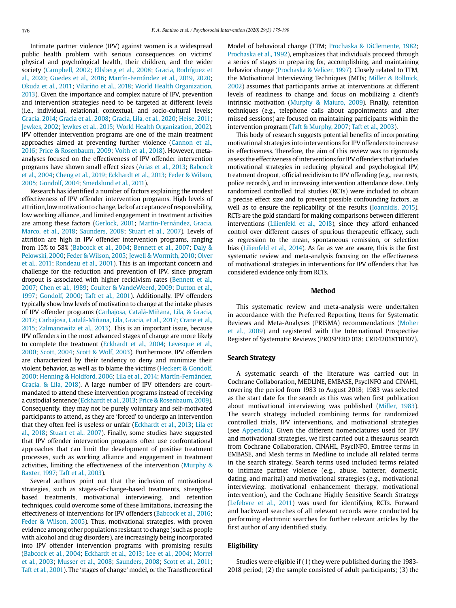Intimate partner violence (IPV) against women is a widespread public health problem with serious consequences on victims' physical and psychological health, their children, and the wider society (Campbell, 2002; Ellsberg et al., 2008; Gracia, Rodríguez et al., 2020; Guedes et al., 2016; Martín-Fernández et al., 2019, 2020; Okuda et al., 2011; Vilariño et al., 2018; World Health Organization, 2013). Given the importance and complex nature of IPV, prevention and intervention strategies need to be targeted at different levels (i.e., individual, relational, contextual, and socio-cultural levels; Gracia, 2014; Gracia et al., 2008; Gracia, Lila, et al., 2020; Heise, 2011; Jewkes, 2002; Jewkes et al., 2015; World Health Organization, 2002). IPV offender intervention programs are one of the main treatment approaches aimed at preventing further violence (Cannon et al., 2016; Price & Rosenbaum, 2009; Voith et al., 2018). However, metaanalyses focused on the effectiveness of IPV offender intervention programs have shown small effect sizes (Arias et al., 2013; Babcock et al., 2004; Cheng et al., 2019; Eckhardt et al., 2013; Feder & Wilson, 2005; Gondolf, 2004; Smedslund et al., 2011).

Research has identified a number of factors explaining the modest effectiveness of IPV offender intervention programs. High levels of attrition, low motivation to change, lack of acceptance of responsibility, low working alliance, and limited engagement in treatment activities are among these factors (Gerlock, 2001; Martín-Fernández, Gracia, Marco, et al., 2018; Saunders, 2008; Stuart et al., 2007). Levels of attrition are high in IPV offender intervention programs, ranging from 15% to 58% (Babcock et al., 2004; Bennett et al., 2007; Daly & Pelowski, 2000; Feder & Wilson, 2005; Jewell & Wormith, 2010; Olver et al., 2011; Rondeau et al., 2001). This is an important concern and challenge for the reduction and prevention of IPV, since program dropout is associated with higher recidivism rates (Bennett et al., 2007; Chen et al., 1989; Coulter & VandeWeerd, 2009; Dutton et al., 1997; Gondolf, 2000; Taft et al., 2001). Additionally, IPV offenders typically show low levels of motivation to change at the intake phases of IPV offender programs (Carbajosa, Catalá-Miñana, Lila, & Gracia, 2017; Carbajosa, Catalá-Miñana, Lila, Gracia, et al., 2017; Crane et al., 2015; Zalmanowitz et al., 2013). This is an important issue, because IPV offenders in the most advanced stages of change are more likely to complete the treatment (Eckhardt et al., 2004; Levesque et al., 2000; Scott, 2004; Scott & Wolf, 2003). Furthermore, IPV offenders are characterized by their tendency to deny and minimize their violent behavior, as well as to blame the victims (Heckert & Gondolf, 2000; Henning & Holdford, 2006; Lila et al., 2014; Martín-Fernández, Gracia, & Lila, 2018). A large number of IPV offenders are courtmandated to attend these intervention programs instead of receiving a custodial sentence (Eckhardt et al., 2013; Price & Rosenbaum, 2009). Consequently, they may not be purely voluntary and self-motivated participants to attend, as they are 'forced' to undergo an intervention that they often feel is useless or unfair (Eckhardt et al., 2013; Lila et al., 2018; Stuart et al., 2007). Finally, some studies have suggested that IPV offender intervention programs often use confrontational approaches that can limit the development of positive treatment processes, such as working alliance and engagement in treatment activities, limiting the effectiveness of the intervention (Murphy & Baxter, 1997; Taft et al., 2003).

Several authors point out that the inclusion of motivational strategies, such as stages-of-change-based treatments, strengthsbased treatments, motivational interviewing, and retention techniques, could overcome some of these limitations, increasing the effectiveness of interventions for IPV offenders (Babcock et al., 2016; Feder & Wilson, 2005). Thus, motivational strategies, with proven evidence among other populations resistant to change (such as people with alcohol and drug disorders), are increasingly being incorporated into IPV offender intervention programs with promising results (Babcock et al., 2004; Eckhardt et al., 2013; Lee et al., 2004; Morrel et al., 2003; Musser et al., 2008; Saunders, 2008; Scott et al., 2011; Taft et al., 2001). The 'stages of change' model, or the Transtheoretical

Model of behavioral change (TTM; Prochaska & DiClemente, 1982; Prochaska et al., 1992), emphasizes that individuals proceed through a series of stages in preparing for, accomplishing, and maintaining behavior change (Prochaska & Velicer, 1997). Closely related to TTM, the Motivational Interviewing Techniques (MITs; Miller & Rollnick, 2002) assumes that participants arrive at interventions at different levels of readiness to change and focus on mobilizing a client's intrinsic motivation (Murphy & Maiuro, 2009). Finally, retention techniques (e.g., telephone calls about appointments and after missed sessions) are focused on maintaining participants within the intervention program (Taft & Murphy, 2007; Taft et al., 2003).

This body of research suggests potential benefits of incorporating motivational strategies into interventions for IPV offenders to increase its effectiveness. Therefore, the aim of this review was to rigorously assess the effectiveness of interventions for IPV offenders that includes motivational strategies in reducing physical and psychological IPV, treatment dropout, official recidivism to IPV offending (e.g., rearrests, police records), and in increasing intervention attendance dose. Only randomized controlled trial studies (RCTs) were included to obtain a precise effect size and to prevent possible confounding factors, as well as to ensure the replicability of the results (Ioannidis, 2015). RCTs are the gold standard for making comparisons between different interventions (Lilienfeld et al., 2018), since they afford enhanced control over different causes of spurious therapeutic efficacy, such as regression to the mean, spontaneous remission, or selection bias (Lilienfeld et al., 2014). As far as we are aware, this is the first systematic review and meta-analysis focusing on the effectiveness of motivational strategies in interventions for IPV offenders that has considered evidence only from RCTs.

#### **Method**

This systematic review and meta-analysis were undertaken in accordance with the Preferred Reporting Items for Systematic Reviews and Meta-Analyses (PRISMA) recommendations (Moher et al., 2009) and registered with the International Prospective Register of Systematic Reviews (PROSPERO 018: CRD42018110107).

### **Search Strategy**

A systematic search of the literature was carried out in Cochrane Collaboration, MEDLINE, EMBASE, PsycINFO and CINAHL, covering the period from 1983 to August 2018; 1983 was selected as the start date for the search as this was when first publication about motivational interviewing was published (Miller, 1983). The search strategy included combining terms for randomized controlled trials, IPV interventions, and motivational strategies (see Appendix). Given the different nomenclatures used for IPV and motivational strategies, we first carried out a thesaurus search from Cochrane Collaboration, CINAHL, PsycINFO, Emtree terms in EMBASE, and Mesh terms in Medline to include all related terms in the search strategy. Search terms used included terms related to intimate partner violence (e.g., abuse, batterer, domestic, dating, and marital) and motivational strategies (e.g., motivational interviewing, motivational enhancement therapy, motivational intervention), and the Cochrane Highly Sensitive Search Strategy (Lefebvre et al., 2011) was used for identifying RCTs. Forward and backward searches of all relevant records were conducted by performing electronic searches for further relevant articles by the first author of any identified study.

# **Eligibility**

Studies were eligible if (1) they were published during the 1983- 2018 period; (2) the sample consisted of adult participants; (3) the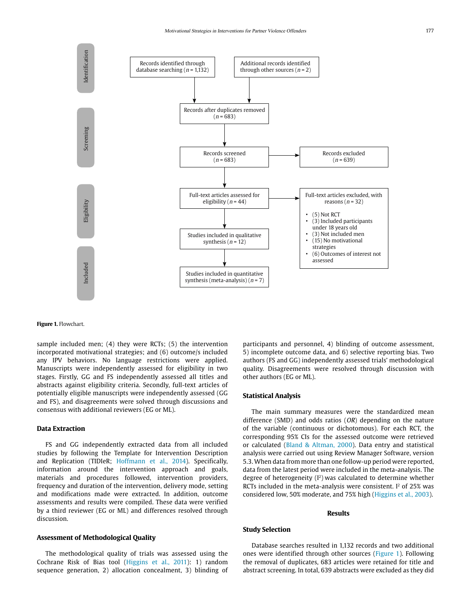

### **Figure 1.** Flowchart.

sample included men; (4) they were RCTs; (5) the intervention incorporated motivational strategies; and (6) outcome/s included any IPV behaviors. No language restrictions were applied. Manuscripts were independently assessed for eligibility in two stages. Firstly, GG and FS independently assessed all titles and abstracts against eligibility criteria. Secondly, full-text articles of potentially eligible manuscripts were independently assessed (GG and FS), and disagreements were solved through discussions and consensus with additional reviewers (EG or ML).

### **Data Extraction**

FS and GG independently extracted data from all included studies by following the Template for Intervention Description and Replication (TIDIeR; Hoffmann et al., 2014). Specifically, information around the intervention approach and goals, materials and procedures followed, intervention providers, frequency and duration of the intervention, delivery mode, setting and modifications made were extracted. In addition, outcome assessments and results were compiled. These data were verified by a third reviewer (EG or ML) and differences resolved through discussion.

# **Assessment of Methodological Quality**

The methodological quality of trials was assessed using the Cochrane Risk of Bias tool (Higgins et al., 2011): 1) random sequence generation, 2) allocation concealment, 3) blinding of participants and personnel, 4) blinding of outcome assessment, 5) incomplete outcome data, and 6) selective reporting bias. Two authors (FS and GG) independently assessed trials' methodological quality. Disagreements were resolved through discussion with other authors (EG or ML).

### **Statistical Analysis**

The main summary measures were the standardized mean difference (SMD) and odds ratios  $(OR)$  depending on the nature of the variable (continuous or dichotomous). For each RCT, the corresponding 95% CIs for the assessed outcome were retrieved or calculated (Bland & Altman, 2000). Data entry and statistical analysis were carried out using Review Manager Software, version 5.3. When data from more than one follow-up period were reported, data from the latest period were included in the meta-analysis. The degree of heterogeneity  $(I^2)$  was calculated to determine whether RCTs included in the meta-analysis were consistent.  $I<sup>2</sup>$  of 25% was considered low, 50% moderate, and 75% high (Higgins et al., 2003).

## **Results**

# **Study Selection**

Database searches resulted in 1,132 records and two additional ones were identified through other sources (Figure 1). Following the removal of duplicates, 683 articles were retained for title and abstract screening. In total, 639 abstracts were excluded as they did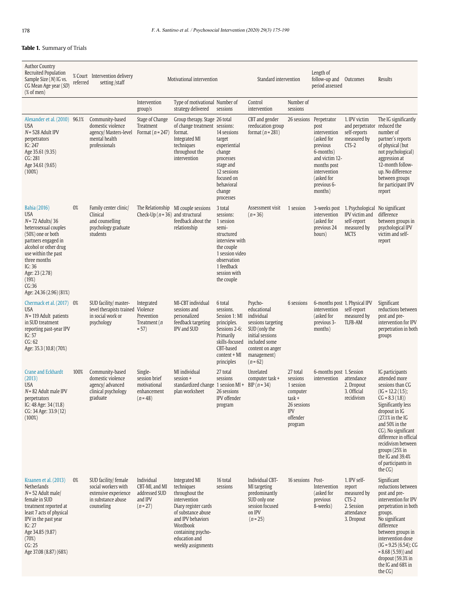# **Table 1.** Summary of Trials

| <b>Author Country</b><br>Recruited Population<br>Sample Size (N) IG vs.<br>CG Mean Age year (SD)<br>$(%$ of men)                                                                                                                                             | referred | % Court Intervention delivery<br>setting /staff                                                         |                                                                        | Motivational intervention                                                                                                                                                                                 |                                                                                                                                                                        | Standard intervention                                                                                                                                           |                                                                                                      | Length of<br>follow-up and<br>period assessed                                                                                                                                   | Outcomes                                                                                                    | Results                                                                                                                                                                                                                                                                                                                                 |
|--------------------------------------------------------------------------------------------------------------------------------------------------------------------------------------------------------------------------------------------------------------|----------|---------------------------------------------------------------------------------------------------------|------------------------------------------------------------------------|-----------------------------------------------------------------------------------------------------------------------------------------------------------------------------------------------------------|------------------------------------------------------------------------------------------------------------------------------------------------------------------------|-----------------------------------------------------------------------------------------------------------------------------------------------------------------|------------------------------------------------------------------------------------------------------|---------------------------------------------------------------------------------------------------------------------------------------------------------------------------------|-------------------------------------------------------------------------------------------------------------|-----------------------------------------------------------------------------------------------------------------------------------------------------------------------------------------------------------------------------------------------------------------------------------------------------------------------------------------|
|                                                                                                                                                                                                                                                              |          |                                                                                                         | Intervention<br>groups                                                 | Type of motivational Number of<br>strategy delivered                                                                                                                                                      | sessions                                                                                                                                                               | Control<br>intervention                                                                                                                                         | Number of<br>sessions                                                                                |                                                                                                                                                                                 |                                                                                                             |                                                                                                                                                                                                                                                                                                                                         |
| Alexander et al. (2010) 96.1%<br><b>USA</b><br>$N = 528$ Adult IPV<br>perpetrators<br>IG: 247<br>Age 35.61 (9.35)<br>CG: 281<br>Age 34.61 (9.65)<br>$(100\%)$                                                                                                |          | Community-based<br>domestic violence<br>agency/ Masters-level<br>mental health<br>professionals         | Stage of Change<br>Treatment<br>Format ( $n = 247$ )                   | Group therapy. Stage 26 total<br>of change treatment sessions:<br>format.<br>Integrated MI<br>techniques<br>throughout the<br>intervention                                                                | 14 sessions<br>target<br>experiential<br>change<br>processes<br>stage and<br>12 sessions<br>focused on<br>behavioral<br>change<br>processes                            | CBT and gender<br>reeducation group<br>format ( $n = 281$ )                                                                                                     |                                                                                                      | 26 sessions Perpetrator<br>post<br>intervention<br>(asked for<br>previous<br>6-months)<br>and victim 12-<br>months post<br>intervention<br>(asked for<br>previous 6-<br>months) | 1. IPV victim<br>and perpetrator reduced the<br>self-reports<br>measured by<br>$CTS-2$                      | The IG significantly<br>number of<br>partner's reports<br>of physical (but<br>not psychological)<br>aggression at<br>12-month follow-<br>up. No difference<br>between groups<br>for participant IPV<br>report                                                                                                                           |
| Bahia (2016)<br><b>USA</b><br>$N = 72$ Adults/36<br>heterosexual couples<br>(50%) one or both<br>partners engaged in<br>alcohol or other drug<br>use within the past<br>three months<br>IG:36<br>Age: 23 (2.78)<br>(19%)<br>CG:36<br>Age: 24.36 (2.96) (81%) | 0%       | Family center clinic/<br>Clinical<br>and counselling<br>psychology graduate<br>students                 | The Relationship<br>Check-Up ( $n = 36$ ) and structural               | MI couple sessions<br>feedback about the<br>relationship                                                                                                                                                  | 3 total<br>sessions:<br>1 session<br>semi-<br>structured<br>interview with<br>the couple<br>1 session video<br>observation<br>1 feedback<br>session with<br>the couple | Assessment visit<br>$(n = 36)$                                                                                                                                  | 1 session                                                                                            | intervention<br>(asked for<br>previous 24<br>hours)                                                                                                                             | 3-weeks post 1. Psychological No significant<br>IPV victim and<br>self-report<br>measured by<br><b>MCTS</b> | difference<br>between groups in<br>psychological IPV<br>victim and self-<br>report                                                                                                                                                                                                                                                      |
| Chermack et al. (2017) 0%<br><b>USA</b><br>$N = 119$ Adult patients<br>in SUD treatment<br>reporting past-year IPV<br>IG: $57$<br>CG: 62<br>Age: 35.3 (10.8) (70%)                                                                                           |          | SUD facility/ master-<br>level therapists trained Violence<br>in social work or<br>psychology           | Integrated<br>Prevention<br>Treatment ( <i>n</i><br>$= 57)$            | MI-CBT individual<br>sessions and<br>personalized<br>feedback targeting<br>IPV and SUD                                                                                                                    | 6 total<br>sessions.<br>Session 1: MI<br>principles.<br>Sessions 2-6:<br>Primarily<br>skills-focused<br>CBT-based<br>content + MI<br>principles                        | Psycho-<br>educational<br>individual<br>sessions targeting<br>SUD (only the<br>initial sessions<br>included some<br>content on anger<br>management)<br>$(n=62)$ | 6 sessions                                                                                           | intervention<br>(asked for<br>previous 3-<br>months)                                                                                                                            | 6-months post 1. Physical IPV<br>self-report<br>measured by<br><b>TLFB-AM</b>                               | Significant<br>reductions between<br>post and pre-<br>intervention for IPV<br>perpetration in both<br>groups                                                                                                                                                                                                                            |
| <b>Crane and Eckhardt</b><br>(2013)<br><b>USA</b><br>$N = 82$ Adult male IPV<br>perpetrators<br>IG: 48 Age: 34 (11.8)<br>CG: 34 Age: 33.9 (12)<br>$(100\%)$                                                                                                  | 100%     | Community-based<br>domestic violence<br>agency/ advanced<br>clinical psychology<br>graduate             | Single-<br>session brief<br>motivational<br>enhancement<br>$(n = 48)$  | MI individual<br>session +<br>standardized change 1 session MI +<br>plan worksheet                                                                                                                        | 27 total<br>sessions<br>26 sessions<br>IPV offender<br>program                                                                                                         | Unrelated<br>computer task +<br>$BIP(n = 34)$                                                                                                                   | 27 total<br>sessions<br>1 session<br>computer<br>task +<br>26 sessions<br>IPV<br>offender<br>program | 6-months post 1. Session<br>intervention                                                                                                                                        | attendance<br>2. Dropout<br>3. Official<br>recidivism                                                       | IG participants<br>attended more<br>sessions than CG<br>$(IG = 12.2 (1.5))$ ;<br>$CG = 8.3(1.8)$<br>Significantly less<br>dropout in IG<br>$(27.1\% \text{ in the IG})$<br>and 50% in the<br>CG). No significant<br>difference in official<br>recidivism between<br>groups (25% in<br>the IG and 39.4%<br>of participants in<br>the CG) |
| Kraanen et al. (2013)<br>Netherlands<br>$N = 52$ Adult male/<br>female in SUD<br>treatment reported at<br>least 7 acts of physical<br>IPV in the past year<br>IG: 27<br>Age 34.85 (9.87)<br>(70%)<br>CG: 25<br>Age 37.08 (8.87) (68%)                        | 0%       | SUD facility/ female<br>social workers with<br>extensive experience<br>in substance abuse<br>counseling | Individual<br>CBT-MI, and MI<br>addressed SUD<br>and IPV<br>$(n = 27)$ | Integrated MI<br>techniques<br>throughout the<br>intervention<br>Diary register cards<br>of substance abuse<br>and IPV behaviors<br>Wordbook<br>containing psycho-<br>education and<br>weekly assignments | 16 total<br>sessions                                                                                                                                                   | Individual CBT-<br>MI targeting<br>predominantly<br>SUD only one<br>session focused<br>on IPV<br>$(n = 25)$                                                     | 16 sessions Post-                                                                                    | Intervention<br>(asked for<br>previous<br>8-weeks)                                                                                                                              | 1. IPV self-<br>report<br>measured by<br>$CTS-2$<br>2. Session<br>attendance<br>3. Dropout                  | Significant<br>reductions between<br>post and pre-<br>intervention for IPV<br>perpetration in both<br>groups.<br>No significant<br>difference<br>between groups in<br>intervention dose<br>$(IG = 9.25(6.54); CG)$<br>$= 8.68(5.59)$ ) and<br>dropout (59.3% in<br>the IG and 68% in                                                    |

the CG)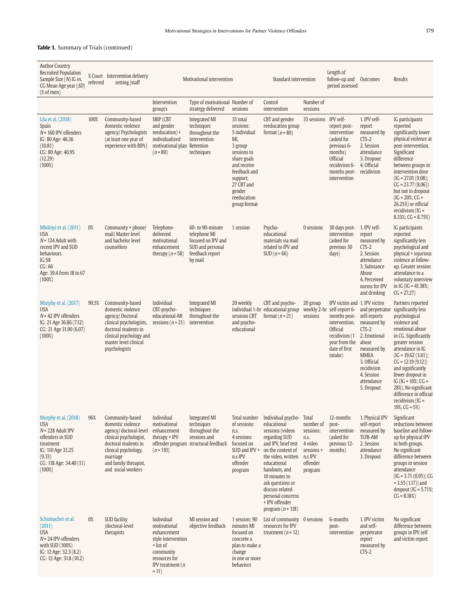# **Table 1.** Summary of Trials (continued)

| <b>Author Country</b><br><b>Recruited Population</b><br>Sample Size $(N)$ IG vs.<br>CG Mean Age year (SD)<br>$(% \mathcal{L}_{0}^{\ast} \mathcal{L}_{1})$ (% of men) | referred | % Court Intervention delivery<br>setting /staff                                                                                                                                                     |                                                                                                                                             | Motivational intervention                                                                                |                                                                                                                                                                                         | Standard intervention                                                                                                                                                                                                                                                                                  |                                                                                           | Length of<br>follow-up and<br>period assessed                                                                                                                         | Outcomes                                                                                                                                                             | Results                                                                                                                                                                                                                                                                                                                                                                                    |
|----------------------------------------------------------------------------------------------------------------------------------------------------------------------|----------|-----------------------------------------------------------------------------------------------------------------------------------------------------------------------------------------------------|---------------------------------------------------------------------------------------------------------------------------------------------|----------------------------------------------------------------------------------------------------------|-----------------------------------------------------------------------------------------------------------------------------------------------------------------------------------------|--------------------------------------------------------------------------------------------------------------------------------------------------------------------------------------------------------------------------------------------------------------------------------------------------------|-------------------------------------------------------------------------------------------|-----------------------------------------------------------------------------------------------------------------------------------------------------------------------|----------------------------------------------------------------------------------------------------------------------------------------------------------------------|--------------------------------------------------------------------------------------------------------------------------------------------------------------------------------------------------------------------------------------------------------------------------------------------------------------------------------------------------------------------------------------------|
|                                                                                                                                                                      |          |                                                                                                                                                                                                     | Intervention<br>groups                                                                                                                      | Type of motivational Number of<br>strategy delivered                                                     | sessions                                                                                                                                                                                | Control<br>intervention                                                                                                                                                                                                                                                                                | Number of<br>sessions                                                                     |                                                                                                                                                                       |                                                                                                                                                                      |                                                                                                                                                                                                                                                                                                                                                                                            |
| Lila et al. (2018)<br>Spain<br>$N = 160$ IPV offenders<br>IG: 80 Age: 46.36<br>(10.81)<br>CG: 80 Age: 40.95<br>(12.29)<br>$(100\%)$                                  | 100%     | Community-based<br>domestic violence<br>agency/ Psychologists<br>(at least one year of<br>experience with BIPs)                                                                                     | SBIP (CBT<br>and gender<br>reeducation) +<br>individualized<br>motivational plan<br>$(n = 80)$                                              | Integrated MI<br>techniques<br>throughout the<br>intervention<br>Retention<br>techniques                 | 35 total<br>sessions:<br>5 individual<br>MI,<br>3 group<br>sessions to<br>share goals<br>and receive<br>feedback and<br>support,<br>27 CBT and<br>gender<br>reeducation<br>group format | CBT and gender<br>reeducation group<br>format ( $n = 80$ )                                                                                                                                                                                                                                             | 35 sessions IPV self-                                                                     | report post-<br>intervention<br>(asked for<br>previous 6-<br>months)<br><b>Official</b><br>recidivism 6-<br>months post-<br>intervention                              | 1. IPV self-<br>report<br>measured by<br>$CTS-2$<br>2. Session<br>attendance<br>3. Dropout<br>4. Official<br>recidivism                                              | IG participants<br>reported<br>significantly lower<br>physical violence at<br>post-intervention.<br>Significant<br>difference<br>between groups in<br>intervention dose<br>$(IG = 27.01 (9.08))$ ;<br>$CG = 23.77(8.06)$<br>but not in dropout<br>$(IG = 20\%; CG =$<br>26.25%) or official<br>recidivism $(IG =$<br>$8.33\%; CG = 8.75\%)$                                                |
| Mbilinyi et al. (2011)<br><b>USA</b><br>$N = 124$ Adult with<br>recent IPV and SUD<br>behaviours<br>IG:58<br>CG:66<br>Age: 39.4 from 18 to 67<br>$(100\%)$           | 0%       | Community + phone/<br>mail/ Master level<br>and bachelor level<br>counsellors                                                                                                                       | Telephone-<br>delivered<br>motivational<br>enhancement<br>therapy ( $n = 58$ )                                                              | 60- to 90-minute<br>telephone MI<br>focused on IPV and<br>SUD and personal<br>feedback report<br>by mail | 1 session                                                                                                                                                                               | Psycho-<br>educational<br>materials via mail<br>related to IPV and<br>$SUD(n = 66)$                                                                                                                                                                                                                    | 0 sessions                                                                                | 30 days post-<br>intervention<br>(asked for<br>previous 30<br>days)                                                                                                   | 1. IPV self-<br>report<br>measured by<br>$CTS-2$<br>2. Session<br>attendance<br>3. Substance<br>Abuse<br>4. Perceived<br>norms for IPV<br>and drinking               | IG participants<br>reported<br>significantly less<br>psychological and<br>physical + injurious<br>violence at follow-<br>up. Greater session<br>attendance to a<br>voluntary interview<br>in IG (IG = $41.38\%$ ;<br>$CG = 27.27)$                                                                                                                                                         |
| Murphy et al. (2017)<br><b>USA</b><br>$N = 42$ IPV offenders<br>IG: 21 Age 36.86 (7.12)<br>CG: 21 Age 31.90 (6.07)<br>$(100\%)$                                      | 90.5%    | Community-based<br>domestic violence<br>agency/Doctoral<br>clinical psychologists,<br>doctoral students in<br>clinical psychology and<br>master level clinical<br>psychologists                     | Individual<br>CBT-psycho-<br>educational-MI<br>sessions ( $n = 21$ )                                                                        | Integrated MI<br>techniques<br>throughout the<br>intervention                                            | 20 weekly<br>sessions CBT<br>and psycho-<br>educational                                                                                                                                 | CBT and psycho-<br>individual 1-hr educational group<br>format ( $n = 21$ )                                                                                                                                                                                                                            | 20 group<br>sessions                                                                      | IPV victim and 1. IPV victim<br>weekly 2-hr self-report 6-<br>months post-<br>intervention.<br>Official<br>recidivism (1<br>year from the<br>date of first<br>intake) | self-reports<br>measured by<br>$CTS-2$<br>2. Emotional<br>abuse<br>measured by<br><b>MMEA</b><br>3. Official<br>recidivism<br>4. Session<br>attendance<br>5. Dropout | Partners reported<br>and perpetrator significantly less<br>psychological<br>violence and<br>emotional abuse<br>in CG. Significantly<br>greater session<br>attendance in IG<br>$(IG = 19.62 (3.61))$ ;<br>$CG = 12.19(9.12)$<br>and significantly<br>fewer dropout in<br>IG (IG = $10\%$ ; CG =<br>28%). No significant<br>difference in official<br>recidivism $(IG =$<br>19%, $CG = 5\%)$ |
| Murphy et al. (2018)<br><b>USA</b><br>$N = 228$ Adult IPV<br>offenders in SUD<br>treatment<br>IG: 110 Age 33.25<br>(9.33)<br>CG: 118 Age: 34.40 (11)<br>$(100\%)$    | 96%      | Community-based<br>domestic violence<br>agency/ doctoral-level<br>clinical psychologist,<br>doctoral students in<br>clinical psychology,<br>marriage<br>and family therapist,<br>and social workers | Individual<br>motivational<br>enhancement<br>$therapy + IPv$<br>$(n = 110)$                                                                 | Integrated MI<br>techniques<br>throughout the<br>sessions and<br>offender program structural feedback    | Total number<br>of sessions:<br>n.s.<br>4 sessions<br>focused on<br>$SUB$ and $IPV +$<br>n.s IPV<br>offender<br>program                                                                 | Individual psycho- Total<br>educational<br>sessions (videos<br>regarding SUD<br>and IPV, brief test<br>on the content of<br>the video, written<br>educational<br>handouts, and<br>10 minutes to<br>ask questions or<br>discuss related<br>personal concerns<br>+ IPV offender<br>program ( $n = 118$ ) | number of<br>sessions:<br>n.s.<br>4 video<br>sessions +<br>n.s IPV<br>offender<br>program | 12-months<br>post-<br>intervention<br>(asked for<br>previous 12-<br>months)                                                                                           | 1. Physical IPV<br>self-report<br>measured by<br>TLFB-AM<br>2. Session<br>attendance<br>3. Dropout                                                                   | Significant<br>reductions between<br>baseline and follow-<br>up for physical IPV<br>in both groups.<br>No significant<br>difference between<br>groups in session<br>attendance<br>$(IG = 3.71 (0.95); CG)$<br>$= 3.55(1.17)$ ) and<br>dropout ( $IG = 5.71\%$ ;<br>$CG = 8.18\%)$                                                                                                          |
| Schumacher et al.<br>(2011)<br><b>USA</b><br>$N = 24$ IPV offenders<br>with SUD (100%)<br>IG: 12 Age: 32.3 (8.2)<br>CG: 12 Age: 31.8 (10.2)                          | 0%       | SUD facility<br>/doctoral-level<br>therapists                                                                                                                                                       | Individual<br>motivational<br>enhancement<br>style intervention<br>+ list of<br>community<br>resources for<br>IPV treatment $(n)$<br>$= 11$ | MI session and<br>objective feedback                                                                     | 1 session: 90<br>minutes MI<br>focused on<br>concrete a<br>plan to make a<br>change<br>in one or more<br>behaviors                                                                      | List of community 0 sessions<br>resources for IPV<br>treatment $(n = 12)$                                                                                                                                                                                                                              |                                                                                           | 6-months<br>post-<br>intervention                                                                                                                                     | 1. IPV victim<br>and self-<br>perpetrator<br>report<br>measured by<br>$CTS-2$                                                                                        | No significant<br>difference between<br>groups in IPV self<br>and victim report                                                                                                                                                                                                                                                                                                            |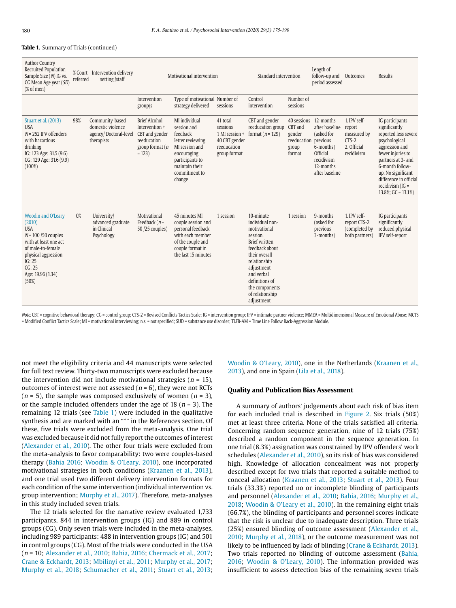#### **Table 1.** Summary of Trials (continued)

| <b>Author Country</b><br>Recruited Population<br>Sample Size (N) IG vs.<br>CG Mean Age year (SD)<br>$(% \mathcal{L}_{0}^{\ast}(\mathcal{L}_{0})\cap \mathcal{L}_{1})$                              | referred | % Court Intervention delivery<br>setting /staff                             |                                                                                                          | Motivational intervention                                                                                                                                     | Standard intervention                                                                  |                                                                                                                                                                                                                                      | Length of<br>follow-up and<br>period assessed                | Outcomes                                                                                                                    | Results                                                                       |                                                                                                                                                                                                                                                           |
|----------------------------------------------------------------------------------------------------------------------------------------------------------------------------------------------------|----------|-----------------------------------------------------------------------------|----------------------------------------------------------------------------------------------------------|---------------------------------------------------------------------------------------------------------------------------------------------------------------|----------------------------------------------------------------------------------------|--------------------------------------------------------------------------------------------------------------------------------------------------------------------------------------------------------------------------------------|--------------------------------------------------------------|-----------------------------------------------------------------------------------------------------------------------------|-------------------------------------------------------------------------------|-----------------------------------------------------------------------------------------------------------------------------------------------------------------------------------------------------------------------------------------------------------|
|                                                                                                                                                                                                    |          |                                                                             | Intervention<br>groups                                                                                   | Type of motivational Number of<br>strategy delivered                                                                                                          | sessions                                                                               | Control<br>intervention                                                                                                                                                                                                              | Number of<br>sessions                                        |                                                                                                                             |                                                                               |                                                                                                                                                                                                                                                           |
| Stuart et al. (2013)<br><b>USA</b><br>$N = 252$ IPV offenders<br>with hazardous<br>drinking<br>IG: 123 Age: 31.5 (9.6)<br>CG: 129 Age: 31.6 (9.9)<br>$(100\%)$                                     | 98%      | Community-based<br>domestic violence<br>agency/Doctoral-level<br>therapists | <b>Brief Alcohol</b><br>Intervention +<br>CBT and gender<br>reeducation<br>group format $(n)$<br>$= 123$ | MI individual<br>session and<br>feedback<br>letter reviewing<br>MI session and<br>encouraging<br>participants to<br>maintain their<br>commitment to<br>change | 41 total<br>sessions<br>1 MI session +<br>40 CBT gender<br>reeducation<br>group format | CBT and gender<br>reeducation group<br>format ( $n = 129$ )                                                                                                                                                                          | CBT and<br>gender<br>reeducation previous<br>group<br>format | 40 sessions 12-months<br>after baseline<br>(asked for<br>6-months)<br>Official<br>recidivism<br>12-months<br>after baseline | 1. IPV self-<br>report<br>measured by<br>$CTS-2$<br>2. Official<br>recidivism | IG participants<br>significantly<br>reported less severe<br>psychological<br>aggression and<br>fewer injuries to<br>partners at 3- and<br>6-month follow-<br>up. No significant<br>difference in official<br>recidivism $(IG =$<br>$13.8\%$ ; GC = 13.1%) |
| <b>Woodin and O'Leary</b><br>(2010)<br><b>USA</b><br>$N = 100 / 50$ couples<br>with at least one act<br>of male-to-female<br>physical aggression<br>IG: 25<br>CG: 25<br>Age: 19.96 (1.34)<br>(50%) | 0%       | University/<br>advanced graduate<br>in Clinical<br>Psychology               | Motivational<br>Feedback $(n =$<br>50 /25 couples)                                                       | 45 minutes MI<br>couple session and<br>personal feedback<br>with each member<br>of the couple and<br>couple format in<br>the last 15 minutes                  | 1 session                                                                              | 10-minute<br>individual non-<br>motivational<br>session.<br><b>Brief written</b><br>feedback about<br>their overall<br>relationship<br>adjustment<br>and verbal<br>definitions of<br>the components<br>of relationship<br>adjustment | 1 session                                                    | 9-months<br>(asked for<br>previous<br>3-months)                                                                             | 1. IPV self-<br>report CTS-2<br>(completed by<br>both partners)               | IG participants<br>significantly<br>reduced physical<br>IPV self-report                                                                                                                                                                                   |

Note. CBT = cognitive behavioral therapy; CG = control group; CTS-2 = Revised Conflicts Tactics Scale; IG = intervention group; IPV = intimate partner violence; MMEA = Multidimensional Measure of Emotional Abuse; MCTS = Modified Conflict Tactics Scale; MI = motivational interviewing; n.s. = not specified; SUD = substance use disorder; TLFB-AM = Time Line Follow Back-Aggression Module.

not meet the eligibility criteria and 44 manuscripts were selected for full text review. Thirty-two manuscripts were excluded because the intervention did not include motivational strategies ( $n = 15$ ), outcomes of interest were not assessed ( $n = 6$ ), they were not RCTs  $(n = 5)$ , the sample was composed exclusively of women  $(n = 3)$ , or the sample included offenders under the age of 18 ( $n = 3$ ). The remaining 12 trials (see Table 1) were included in the qualitative synthesis and are marked with an "\*" in the References section. Of these, five trials were excluded from the meta-analysis. One trial was excluded because it did not fully report the outcomes of interest (Alexander et al., 2010). The other four trials were excluded from the meta-analysis to favor comparability: two were couples-based therapy (Bahia 2016; Woodin & O'Leary, 2010), one incorporated motivational strategies in both conditions (Kraanen et al., 2013), and one trial used two different delivery intervention formats for each condition of the same intervention (individual intervention vs. group intervention; Murphy et al., 2017). Therefore, meta-analyses in this study included seven trials.

The 12 trials selected for the narrative review evaluated 1,733 participants, 844 in intervention groups (IG) and 889 in control groups (CG). Only seven trials were included in the meta-analyses, including 989 participants: 488 in intervention groups (IG) and 501 in control groups (CG). Most of the trials were conducted in the USA (n = 10; Alexander et al., 2010; Bahia, 2016; Chermack et al., 2017; Crane & Eckhardt, 2013; Mbilinyi et al., 2011; Murphy et al., 2017; Murphy et al., 2018; Schumacher et al., 2011; Stuart et al., 2013; Woodin & O'Leary, 2010), one in the Netherlands (Kraanen et al., 2013), and one in Spain (Lila et al., 2018).

### **Quality and Publication Bias Assessment**

A summary of authors' judgements about each risk of bias item for each included trial is described in Figure 2. Six trials (50%) met at least three criteria. None of the trials satisfied all criteria. Concerning random sequence generation, nine of 12 trials (75%) described a random component in the sequence generation. In one trial (8.3%) assignation was constrained by IPV offenders' work schedules (Alexander et al., 2010), so its risk of bias was considered high. Knowledge of allocation concealment was not properly described except for two trials that reported a suitable method to conceal allocation (Kraanen et al., 2013; Stuart et al., 2013). Four trials (33.3%) reported no or incomplete blinding of participants and personnel (Alexander et al., 2010; Bahia, 2016; Murphy et al., 2018; Woodin & O'Leary et al., 2010). In the remaining eight trials (66.7%), the blinding of participants and personnel scores indicate that the risk is unclear due to inadequate description. Three trials (25%) ensured blinding of outcome assessment (Alexander et al., 2010; Murphy et al., 2018), or the outcome measurement was not likely to be influenced by lack of blinding (Crane & Eckhardt, 2013). Two trials reported no blinding of outcome assessment (Bahia, 2016; Woodin & O'Leary, 2010). The information provided was insufficient to assess detection bias of the remaining seven trials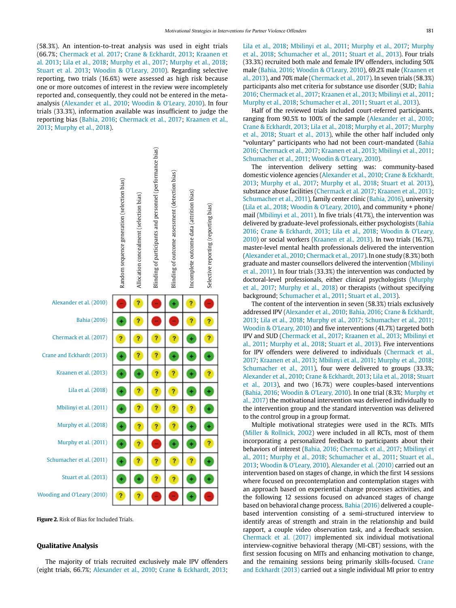(58.3%). An intention-to-treat analysis was used in eight trials (66.7%; Chermack et al. 2017; Crane & Eckhardt, 2013; Kraanen et al. 2013; Lila et al., 2018; Murphy et al., 2017; Murphy et al., 2018; Stuart et al. 2013; Woodin & O'Leary, 2010). Regarding selective reporting, two trials (16.6%) were assessed as high risk because one or more outcomes of interest in the review were incompletely reported and, consequently, they could not be entered in the metaanalysis (Alexander et al., 2010; Woodin & O'Leary, 2010). In four trials (33.3%), information available was insufficient to judge the reporting bias (Bahia, 2016; Chermack et al., 2017; Kraanen et al., 2013; Murphy et al., 2018).



**Figure 2.** Risk of Bias for Included Trials.

## **Qualitative Analysis**

The majority of trials recruited exclusively male IPV offenders (eight trials, 66.7%; Alexander et al., 2010; Crane & Eckhardt, 2013; Lila et al., 2018; Mbilinyi et al., 2011; Murphy et al., 2017; Murphy et al., 2018; Schumacher et al., 2011; Stuart et al., 2013). Four trials (33.3%) recruited both male and female IPV offenders, including 50% male (Bahia, 2016; Woodin & O'Leary, 2010), 69.2% male (Kraanen et al., 2013), and 70% male (Chermack et al., 2017). In seven trials (58.3%) participants also met criteria for substance use disorder (SUD; Bahia 2016; Chermack et al., 2017; Kraanen et al., 2013; Mbilinyi et al., 2011; Murphy et al., 2018; Schumacher et al., 2011; Stuart et al., 2013).

Half of the reviewed trials included court-referred participants, ranging from 90.5% to 100% of the sample (Alexander et al., 2010; Crane & Eckhardt, 2013; Lila et al., 2018; Murphy et al., 2017; Murphy et al., 2018; Stuart et al., 2013), while the other half included only "voluntary" participants who had not been court-mandated (Bahia 2016; Chermack et al., 2017; Kraanen et al., 2013; Mbilinyi et al., 2011; Schumacher et al., 2011; Woodin & O'Leary, 2010).

The intervention delivery setting was: community-based domestic violence agencies (Alexander et al., 2010; Crane & Eckhardt, 2013; Murphy et al., 2017; Murphy et al., 2018; Stuart et al. 2013), substance abuse facilities (Chermack et al. 2017; Kraanen et al., 2013; Schumacher et al., 2011), family center clinic (Bahia, 2016), university (Lila et al., 2018; Woodin & O'Leary, 2010), and community + phone/ mail (Mbilinyi et al., 2011). In five trials (41.7%), the intervention was delivered by graduate-level professionals, either psychologists (Bahia 2016; Crane & Eckhardt, 2013; Lila et al., 2018; Woodin & O'Leary, 2010) or social workers (Kraanen et al., 2013). In two trials (16.7%), master-level mental health professionals delivered the intervention (Alexander et al., 2010; Chermack et al., 2017). In one study (8.3%) both graduate and master counsellors delivered the intervention (Mbilinyi et al., 2011). In four trials (33.3%) the intervention was conducted by doctoral-level professionals, either clinical psychologists (Murphy et al., 2017; Murphy et al., 2018) or therapists (without specifying background; Schumacher et al., 2011; Stuart et al., 2013).

The content of the intervention in seven (58.3%) trials exclusively addressed IPV (Alexander et al., 2010; Bahia, 2016; Crane & Eckhardt, 2013; Lila et al., 2018; Murphy et al., 2017; Schumacher et al., 2011; Woodin & O'Leary, 2010) and five interventions (41.7%) targeted both IPV and SUD (Chermack et al., 2017; Kraanen et al., 2013; Mbilinyi et al., 2011; Murphy et al., 2018; Stuart et al., 2013). Five interventions for IPV offenders were delivered to individuals (Chermack et al., 2017; Kraanen et al., 2013; Mbilinyi et al., 2011; Murphy et al., 2018; Schumacher et al., 2011), four were delivered to groups (33.3%; Alexander et al., 2010; Crane & Eckhardt, 2013; Lila et al., 2018; Stuart et al., 2013), and two (16.7%) were couples-based interventions (Bahia, 2016; Woodin & O'Leary, 2010). In one trial (8.3%; Murphy et al., 2017) the motivational intervention was delivered individually to the intervention group and the standard intervention was delivered to the control group in a group format.

Multiple motivational strategies were used in the RCTs. MITs (Miller & Rollnick, 2002) were included in all RCTs, most of them incorporating a personalized feedback to participants about their behaviors of interest (Bahia, 2016; Chermack et al., 2017; Mbilinyi et al., 2011; Murphy et al., 2018; Schumacher et al., 2011; Stuart et al., 2013; Woodin & O'Leary, 2010). Alexander et al. (2010) carried out an intervention based on stages of change, in which the first 14 sessions where focused on precontemplation and contemplation stages with an approach based on experiential change processes activities, and the following 12 sessions focused on advanced stages of change based on behavioral change process. Bahia (2016) delivered a couplebased intervention consisting of a semi-structured interview to identify areas of strength and strain in the relationship and build rapport, a couple video observation task, and a feedback session. Chermack et al. (2017) implemented six individual motivational interview-cognitive behavioral therapy (MI-CBT) sessions, with the first session focusing on MITs and enhancing motivation to change, and the remaining sessions being primarily skills-focused. Crane and Eckhardt (2013) carried out a single individual MI prior to entry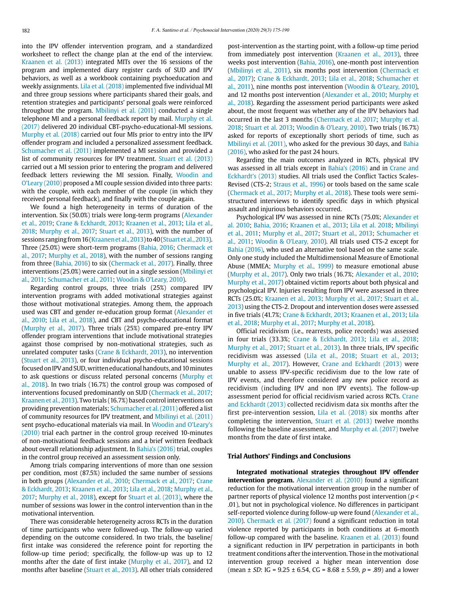into the IPV offender intervention program, and a standardized worksheet to reflect the change plan at the end of the interview. Kraanen et al. (2013) integrated MITs over the 16 sessions of the program and implemented diary register cards of SUD and IPV behaviors, as well as a workbook containing psychoeducation and weekly assignments. Lila et al. (2018) implemented five individual MI and three group sessions where participants shared their goals, and retention strategies and participants' personal goals were reinforced throughout the program. Mbilinyi et al. (2011) conducted a single telephone MI and a personal feedback report by mail. Murphy et al. (2017) delivered 20 individual CBT-psycho-educational-MI sessions. Murphy et al. (2018) carried out four MIs prior to entry into the IPV offender program and included a personalized assessment feedback. Schumacher et al. (2011) implemented a MI session and provided a list of community resources for IPV treatment. Stuart et al. (2013) carried out a MI session prior to entering the program and delivered feedback letters reviewing the MI session. Finally, Woodin and O'Leary (2010) proposed a MI couple session divided into three parts: with the couple, with each member of the couple (in which they received personal feedback), and finally with the couple again.

We found a high heterogeneity in terms of duration of the intervention. Six (50.0%) trials were long-term programs (Alexander et al., 2019; Crane & Eckhardt, 2013; Kraanen et al., 2013; Lila et al., 2018; Murphy et al., 2017; Stuart et al., 2013), with the number of sessions ranging from 16 (Kraanen et al., 2013) to 40 (Stuart et al., 2013). Three (25.0%) were short-term programs (Bahia, 2016; Chermack et al., 2017; Murphy et al., 2018), with the number of sessions ranging from three (Bahia, 2016) to six (Chermack et al., 2017). Finally, three interventions (25.0%) were carried out in a single session (Mbilinyi et al., 2011; Schumacher et al., 2011; Woodin & O'Leary, 2010).

Regarding control groups, three trials (25%) compared IPV intervention programs with added motivational strategies against those without motivational strategies. Among them, the approach used was CBT and gender re-education group format (Alexander et al., 2010; Lila et al., 2018), and CBT and psycho-educational format (Murphy et al., 2017). Three trials (25%) compared pre-entry IPV offender program interventions that include motivational strategies against those comprised by non-motivational strategies, such as unrelated computer tasks (Crane & Eckhardt, 2013), no intervention (Stuart et al., 2013), or four individual psycho-educational sessions focused on IPV and SUD, written educational handouts, and 10 minutes to ask questions or discuss related personal concerns (Murphy et al., 2018). In two trials (16.7%) the control group was composed of interventions focused predominantly on SUD (Chermack et al., 2017; Kraanen et al., 2013). Two trials (16.7%) based control interventions on providing prevention materials; Schumacher et al. (2011) offered a list of community resources for IPV treatment, and Mbilinyi et al. (2011) sent psycho-educational materials via mail. In Woodin and O'Leary's (2010) trial each partner in the control group received 10-minutes of non-motivational feedback sessions and a brief written feedback about overall relationship adjustment. In Bahia's (2016) trial, couples in the control group received an assessment session only.

Among trials comparing interventions of more than one session per condition, most (87.5%) included the same number of sessions in both groups (Alexander et al., 2010; Chermack et al., 2017; Crane & Eckhardt, 2013; Kraanen et al., 2013; Lila et al., 2018; Murphy et al., 2017; Murphy et al., 2018), except for Stuart et al. (2013), where the number of sessions was lower in the control intervention than in the motivational intervention.

There was considerable heterogeneity across RCTs in the duration of time participants who were followed-up. The follow-up varied depending on the outcome considered. In two trials, the baseline/ first intake was considered the reference point for reporting the follow-up time period; specifically, the follow-up was up to 12 months after the date of first intake (Murphy et al., 2017), and 12 months after baseline (Stuart et al., 2013). All other trials considered post-intervention as the starting point, with a follow-up time period from immediately post intervention (Kraanen et al., 2013), three weeks post intervention (Bahia, 2016), one-month post intervention (Mbilinyi et al., 2011), six months post intervention (Chermack et al., 2017); Crane & Eckhardt, 2013; Lila et al., 2018; Schumacher et al., 2011), nine months post intervention (Woodin & O'Leary, 2010), and 12 months post intervention (Alexander et al., 2010; Murphy et al., 2018). Regarding the assessment period participants were asked about, the most frequent was whether any of the IPV behaviors had occurred in the last 3 months (Chermack et al, 2017; Murphy et al. 2018; Stuart et al. 2013; Woodin & O'Leary, 2010). Two trials (16.7%) asked for reports of exceptionally short periods of time, such as Mbilinyi et al. (2011), who asked for the previous 30 days, and Bahia (2016), who asked for the past 24 hours.

Regarding the main outcomes analyzed in RCTs, physical IPV was assessed in all trials except in Bahia's (2016) and in Crane and Eckhardt's (2013) studies. All trials used the Conflict Tactics Scales-Revised (CTS-2; Straus et al., 1996) or tools based on the same scale (Chermack et al., 2017; Murphy et al., 2018). These tools were semistructured interviews to identify specific days in which physical assault and injurious behaviors occurred.

Psychological IPV was assessed in nine RCTs (75.0%; Alexander et al. 2010; Bahia, 2016; Kraanen et al., 2013; Lila et al. 2018; Mbilinyi et al., 2011; Murphy et al., 2017; Stuart et al., 2013; Schumacher et al., 2011; Woodin & O'Leary, 2010). All trials used CTS-2 except for Bahia (2016), who used an alternative tool based on the same scale. Only one study included the Multidimensional Measure of Emotional Abuse (MMEA; Murphy et al., 1999) to measure emotional abuse (Murphy et al., 2017). Only two trials (16.7%; Alexander et al., 2010; Murphy et al., 2017) obtained victim reports about both physical and psychological IPV. Injuries resulting from IPV were assessed in three RCTs (25.0%; Kraanen et al., 2013; Murphy et al., 2017; Stuart et al., 2013) using the CTS-2. Dropout and intervention doses were assessed in five trials (41.7%; Crane & Eckhardt, 2013; Kraanen et al., 2013; Lila et al., 2018; Murphy et al., 2017; Murphy et al., 2018).

Official recidivism (i.e., rearrests, police records) was assessed in four trials (33.3%; Crane & Eckhardt, 2013; Lila et al., 2018; Murphy et al., 2017; Stuart et al., 2013). In three trials, IPV specific recidivism was assessed (Lila et al., 2018; Stuart et al., 2013; Murphy et al., 2017). However, Crane and Eckhardt (2013) were unable to assess IPV-specific recidivism due to the low rate of IPV events, and therefore considered any new police record as recidivism (including IPV and non IPV events). The follow-up assessment period for official recidivism varied across RCTs. Crane and Eckhardt (2013) collected recidivism data six months after the first pre-intervention session, Lila et al. (2018) six months after completing the intervention, Stuart et al. (2013) twelve months following the baseline assessment, and Murphy et al. (2017) twelve months from the date of first intake.

# **Trial Authors' Findings and Conclusions**

**Integrated motivational strategies throughout IPV offender intervention program.** Alexander et al. (2010) found a significant reduction for the motivational intervention group in the number of partner reports of physical violence 12 months post intervention ( $p$  < .01), but not in psychological violence. No differences in participant self-reported violence during follow-up were found (Alexander et al., 2010). Chermack et al. (2017) found a significant reduction in total violence reported by participants in both conditions at 6-month follow-up compared with the baseline. Kraanen et al. (2013) found a significant reduction in IPV perpetration in participants in both treatment conditions after the intervention. Those in the motivational intervention group received a higher mean intervention dose (mean  $\pm$  SD: IG = 9.25  $\pm$  6.54, CG = 8.68  $\pm$  5.59, p = .89) and a lower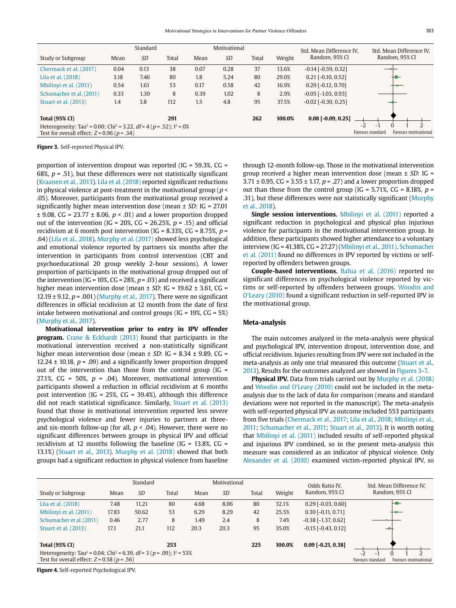|                                                                                                                                                         |      | Standard  |       |      | Motivational |       |        | Std. Mean Difference IV.  |                          | Std. Mean Difference IV, |                |                      |
|---------------------------------------------------------------------------------------------------------------------------------------------------------|------|-----------|-------|------|--------------|-------|--------|---------------------------|--------------------------|--------------------------|----------------|----------------------|
| Study or Subgroup                                                                                                                                       | Mean | <b>SD</b> | Total | Mean | <b>SD</b>    | Total | Weight | Random, 95% CI            |                          |                          | Random, 95% CI |                      |
| Chermack et al. (2017)                                                                                                                                  | 0.04 | 0.13      | 38    | 0.07 | 0.28         | 37    | 13.6%  | $-0.14$ $[-0.59, 0.32]$   |                          |                          |                |                      |
| Lila et al. (2018)                                                                                                                                      | 3.18 | 7.46      | 80    | 1.8  | 5.24         | 80    | 29.0%  | $0.21$ [-0.10, 0.52]      |                          |                          |                |                      |
| Mbilinyi et al. (2011)                                                                                                                                  | 0.54 | 1.61      | 53    | 0.17 | 0.58         | 42    | 16.9%  | $0.29$ [-0.12, 0.70]      |                          |                          |                |                      |
| Schumacher et al. (2011)                                                                                                                                | 0.33 | 1.30      | 8     | 0.39 | 1.02         | 8     | 2.9%   | $-0.05$ [ $-1.03$ , 0.93] |                          |                          |                |                      |
| Stuart et al. (2013)                                                                                                                                    | 1.4  | 3.8       | 112   | 1.5  | 4.8          | 95    | 37.5%  | $-0.02$ $[-0.30, 0.25]$   |                          |                          |                |                      |
| <b>Total (95% CI)</b>                                                                                                                                   |      |           | 291   |      |              | 262   | 100.0% | $0.08$ [-0.09, 0.25]      |                          |                          |                |                      |
| Heterogeneity: Tau <sup>2</sup> = 0.00; Chi <sup>2</sup> = 3.22, df = 4 ( $p = .52$ ); $I^2 = 0\%$<br>Test for overall effect: $Z = 0.96$ ( $p = .34$ ) |      |           |       |      |              |       |        |                           | $-2$<br>Favours standard | $\overline{\phantom{a}}$ |                | Favours motivational |

**Figure 3.** Self-reported Physical IPV.

proportion of intervention dropout was reported (IG = 59.3%, CG = 68%,  $p = .51$ ), but these differences were not statistically significant (Kraanen et al., 2013). Lila et al. (2018) reported significant reductions in physical violence at post-treatment in the motivational group ( $p$  < .05). Moreover, participants from the motivational group received a significantly higher mean intervention dose (mean  $\pm$  SD: IG = 27.01  $\pm$  9.08, CG = 23.77  $\pm$  8.06, p < .01) and a lower proportion dropped out of the intervention (IG = 20%, CG = 26.25%,  $p = .15$ ) and official recidivism at 6 month post intervention (IG = 8.33%, CG = 8.75%,  $p =$ .64) (Lila et al., 2018). Murphy et al. (2017) showed less psychological and emotional violence reported by partners six months after the intervention in participants from control intervention (CBT and psychoeducational 20 group weekly 2-hour sessions). A lower proportion of participants in the motivational group dropped out of the intervention (IG =  $10\%$ , CG =  $28\%$ ,  $p$  = .03) and received a significant higher mean intervention dose (mean  $\pm$  SD: IG = 19.62  $\pm$  3.61, CG = 12.19  $\pm$  9.12, p = .001) (Murphy et al., 2017). There were no significant differences in official recidivism at 12 month from the date of first intake between motivational and control groups (IG =  $19\%$ , CG =  $5\%$ ) (Murphy et al., 2017).

**Motivational intervention prior to entry in IPV offender program.** Crane & Eckhardt (2013) found that participants in the motivational intervention received a non-statistically significant higher mean intervention dose (mean  $\pm$  SD: IG = 8.34  $\pm$  9.89, CG = 12.24  $\pm$  10.18,  $p = .09$ ) and a significantly lower proportion dropped out of the intervention than those from the control group (IG = 27.1%, CG = 50%,  $p = .04$ ). Moreover, motivational intervention participants showed a reduction in official recidivism at 6 months post intervention (IG =  $25\%$ , CG =  $39.4\%$ ), although this difference did not reach statistical significance. Similarly, Stuart et al. (2013) found that those in motivational intervention reported less severe psychological violence and fewer injuries to partners at threeand six-month follow-up (for all,  $p < .04$ ). However, there were no significant differences between groups in physical IPV and official recidivism at 12 months following the baseline (IG = 13.8%,  $CG =$ 13.1%) (Stuart et al., 2013). Murphy et al. (2018) showed that both groups had a significant reduction in physical violence from baseline

through 12-month follow-up. Those in the motivational intervention group received a higher mean intervention dose (mean  $\pm$  SD: IG = 3.71  $\pm$  0.95, CG = 3.55  $\pm$  1.17, p = .27) and a lower proportion dropped out than those from the control group (IG = 5.71%, CG = 8.18%,  $p =$ .31), but these differences were not statistically significant (Murphy et al., 2018).

**Single session interventions.** Mbilinyi et al. (2011) reported a significant reduction in psychological and physical plus injurious violence for participants in the motivational intervention group. In addition, these participants showed higher attendance to a voluntary interview (IG = 41.38%, CG = 27.27) (Mbilinyi et al., 2011). Schumacher et al. (2011) found no differences in IPV reported by victims or selfreported by offenders between groups.

**Couple-based interventions.** Bahia et al. (2016) reported no significant differences in psychological violence reported by victims or self-reported by offenders between groups. Woodin and O'Leary (2010) found a significant reduction in self-reported IPV in the motivational group.

## **Meta-analysis**

The main outcomes analyzed in the meta-analysis were physical and psychological IPV, intervention dropout, intervention dose, and official recidivism. Injuries resulting from IPV were not included in the meta-analysis as only one trial measured this outcome (Stuart et al., 2013). Results for the outcomes analyzed are showed in Figures 3-7.

**Physical IPV.** Data from trials carried out by Murphy et al. (2018) and Woodin and O'Leary (2010) could not be included in the metaanalysis due to the lack of data for comparison (means and standard deviations were not reported in the manuscript). The meta-analysis with self-reported physical IPV as outcome included 553 participants from five trials (Chermack et al., 2017; Lila et al., 2018; Mbilinyi et al., 2011; Schumacher et al., 2011; Stuart et al., 2013). It is worth noting that Mbilinyi et al. (2011) included results of self-reported physical and injurious IPV combined, so in the present meta-analysis this measure was considered as an indicator of physical violence. Only Alexander et al. (2010) examined victim-reported physical IPV, so

|                                                                                                |       | Standard  |       |      | Motivational |       |        | Odds Ratio IV,              | Std. Mean Difference IV,                 |
|------------------------------------------------------------------------------------------------|-------|-----------|-------|------|--------------|-------|--------|-----------------------------|------------------------------------------|
| Study or Subgroup                                                                              | Mean  | <b>SD</b> | Total | Mean | <b>SD</b>    | Total | Weight | Random, 95% CI              | Random, 95% CI                           |
| Lila et al. (2018)                                                                             | 7.48  | 11.21     | 80    | 4.68 | 8.06         | 80    | 32.1%  | $0.29$ [-0.03, 0.60]        | ⊢ –                                      |
| Mbilinyi et al. (2011)                                                                         | 17.83 | 50.62     | 53    | 6.29 | 8.29         | 42    | 25.5%  | $0.30$ [-0.11, 0.71]        |                                          |
| Schumacher et al. (2011)                                                                       | 0.46  | 2.77      | 8     | 1.49 | 2.4          | 8     | 7.4%   | $-0.38$ [ $-1.37, 0.62$ ]   |                                          |
| Stuart et al. (2013)                                                                           | 17.1  | 21.1      | 112   | 20.3 | 20.3         | 95    | 35.0%  | $-0.15$ $[-0.43, 0.12]$     | 一點                                       |
|                                                                                                |       |           |       |      |              |       |        |                             |                                          |
| <b>Total (95% CI)</b>                                                                          |       |           | 253   |      |              | 225   | 100.0% | $0.09$ [ $-0.21$ , $0.38$ ] |                                          |
| Heterogeneity: Tau <sup>2</sup> = 0.04; Chi <sup>2</sup> = 6.39, df = 3 (p = .09); $I^2$ = 53% |       |           |       |      |              |       |        |                             | $-2$<br>$-1$                             |
| Test for overall effect: $Z = 0.58$ ( $p = .56$ )                                              |       |           |       |      |              |       |        |                             | Favours standard<br>Favours motivational |

**Figure 4.** Self-reported Psychological IPV.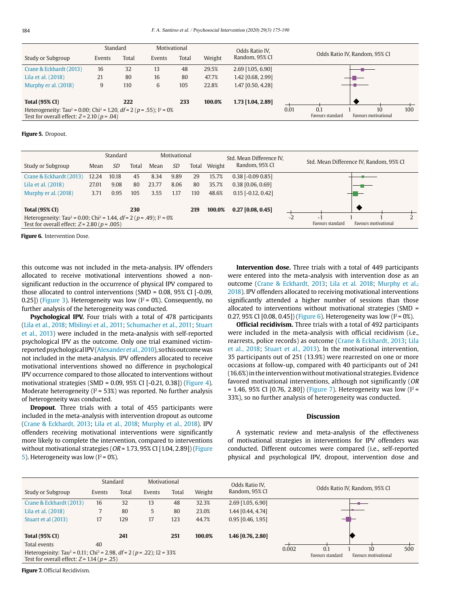|                                                                                                  | Standard |       |        | Motivational |        | Odds Ratio IV.    |      |                  |                               |     |  |
|--------------------------------------------------------------------------------------------------|----------|-------|--------|--------------|--------|-------------------|------|------------------|-------------------------------|-----|--|
| Study or Subgroup                                                                                | Events   | Total | Events | Total        | Weight | Random, 95% CI    |      |                  | Odds Ratio IV, Random, 95% CI |     |  |
| Crane & Eckhardt (2013)                                                                          | 16       | 32    | 13     | 48           | 29.5%  | 2.69 [1.05, 6.90] |      |                  |                               |     |  |
| Lila et al. (2018)                                                                               | 21       | 80    | 16     | 80           | 47.7%  | 1.42 [0.68, 2.99] |      |                  |                               |     |  |
| Murphy er al. (2018)                                                                             | 9        | 110   | 6      | 105          | 22.8%  | 1.47 [0.50, 4.28] |      |                  |                               |     |  |
|                                                                                                  |          |       |        |              |        |                   |      |                  |                               |     |  |
| <b>Total (95% CI)</b>                                                                            |          | 222   |        | 233          | 100.0% | 1.73 [1.04, 2.89] |      |                  |                               |     |  |
| Heterogeneity: Tau <sup>2</sup> = 0.00; Chi <sup>2</sup> = 1.20, df = 2 ( $p$ = .55); $I^2$ = 0% |          |       |        |              |        |                   | 0.01 | 0.1              | 10                            | 100 |  |
| Test for overall effect: $Z = 2.10$ ( $p = .04$ )                                                |          |       |        |              |        |                   |      | Favours standard | Favours motivational          |     |  |

### **Figure 5.** Dropout.

|                                                                                                                                                        |       | Standard |       | Motivational |           |       | Std. Mean Difference IV. |                      |                       |                                         |  |  |
|--------------------------------------------------------------------------------------------------------------------------------------------------------|-------|----------|-------|--------------|-----------|-------|--------------------------|----------------------|-----------------------|-----------------------------------------|--|--|
| Study or Subgroup                                                                                                                                      | Mean  | SD       | Total | Mean         | <i>SD</i> | Total | Weight                   | Random, 95% CI       |                       | Std. Mean Difference IV, Random, 95% CI |  |  |
| Crane & Eckhardt (2013)                                                                                                                                | 12.24 | 10.18    | 45    | 8.34         | 9.89      | 29    | 15.7%                    | $0.38$ [-0.09 0.85]  |                       |                                         |  |  |
| Lila et al. (2018)                                                                                                                                     | 27.01 | 9.08     | 80    | 23.77        | 8.06      | 80    | 35.7%                    | $0.38$ [0.06, 0.69]  |                       |                                         |  |  |
| Murphy er al. (2018)                                                                                                                                   | 3.71  | 0.95     | 105   | 3.55         | 1.17      | 110   | 48.6%                    | $0.15$ [-0.12, 0.42] |                       |                                         |  |  |
|                                                                                                                                                        |       |          |       |              |           |       |                          |                      |                       |                                         |  |  |
| <b>Total (95% CI)</b>                                                                                                                                  |       |          | 230   |              |           | 219   | 100.0%                   | $0.27$ [0.08, 0.45]  |                       |                                         |  |  |
| Heterogeneity: Tau <sup>2</sup> = 0.00; Chi <sup>2</sup> = 1.44, df = 2 ( $p$ = .49); $I^2$ = 0%<br>Test for overall effect: $Z = 2.80$ ( $p = .005$ ) |       |          |       |              |           |       |                          | $-2$                 | -<br>Favours standard | <b>Favours motivational</b>             |  |  |

**Figure 6.** Intervention Dose.

this outcome was not included in the meta-analysis. IPV offenders allocated to receive motivational interventions showed a nonsignificant reduction in the occurrence of physical IPV compared to those allocated to control interventions (SMD = 0.08, 95% CI [-0.09, 0.25]) (Figure 3). Heterogeneity was low ( $I^2 = 0\%$ ). Consequently, no further analysis of the heterogeneity was conducted.

**Psychological IPV.** Four trials with a total of 478 participants (Lila et al., 2018; Mbilinyi et al., 2011; Schumacher et al., 2011; Stuart et al., 2013) were included in the meta-analysis with self-reported psychological IPV as the outcome. Only one trial examined victimreported psychological IPV (Alexander et al., 2010), so this outcome was not included in the meta-analysis. IPV offenders allocated to receive motivational interventions showed no difference in psychological IPV occurrence compared to those allocated to interventions without motivational strategies (SMD = 0.09, 95% CI [-0.21, 0.38]) (Figure 4). Moderate heterogeneity ( $I^2$  = 53%) was reported. No further analysis of heterogeneity was conducted.

**Dropout**. Three trials with a total of 455 participants were included in the meta-analysis with intervention dropout as outcome (Crane & Eckhardt, 2013; Lila et al., 2018; Murphy et al., 2018). IPV offenders receiving motivational interventions were significantly more likely to complete the intervention, compared to interventions without motivational strategies (OR = 1.73, 95% CI [1.04, 2.89]) (Figure 5). Heterogeneity was low ( $I^2 = 0\%$ ).

**Intervention dose.** Three trials with a total of 449 participants were entered into the meta-analysis with intervention dose as an outcome (Crane & Eckhardt, 2013; Lila et al. 2018; Murphy et al., 2018). IPV offenders allocated to receiving motivational interventions significantly attended a higher number of sessions than those allocated to interventions without motivational strategies (SMD = 0.27, 95% CI  $[0.08, 0.45]$  (Figure 6). Heterogeneity was low  $[1^2 = 0\%]$ .

**Official recidivism.** Three trials with a total of 492 participants were included in the meta-analysis with official recidivism (i.e., rearrests, police records) as outcome (Crane & Eckhardt, 2013; Lila et al., 2018; Stuart et al., 2013). In the motivational intervention, 35 participants out of 251 (13.9%) were rearrested on one or more occasions at follow-up, compared with 40 participants out of 241 (16.6%) in the intervention without motivational strategies. Evidence favored motivational interventions, although not significantly (OR = 1.46, 95% CI [0.76, 2.80]) (Figure 7). Heterogeneity was low  $(I^2 =$ 33%), so no further analysis of heterogeneity was conducted.

#### **Discussion**

A systematic review and meta-analysis of the effectiveness of motivational strategies in interventions for IPV offenders was conducted. Different outcomes were compared (i.e., self-reported physical and psychological IPV, dropout, intervention dose and

|                                                                                                                                                  | Standard |       | Motivational |       |        | Odds Ratio IV.      |                                                                       |  |  |  |
|--------------------------------------------------------------------------------------------------------------------------------------------------|----------|-------|--------------|-------|--------|---------------------|-----------------------------------------------------------------------|--|--|--|
| Study or Subgroup                                                                                                                                | Events   | Total | Events       | Total | Weight | Random, 95% CI      | Odds Ratio IV, Random, 95% CI                                         |  |  |  |
| Crane & Eckhardt (2013)                                                                                                                          | 16       | 32    | 13           | 48    | 32.3%  | 2.69 [1.05, 6.90]   |                                                                       |  |  |  |
| Lila et al. (2018)                                                                                                                               |          | 80    | 5            | 80    | 23.0%  | 1.44 [0.44, 4.74]   |                                                                       |  |  |  |
| Stuart et al (2013)                                                                                                                              | 17       | 129   | 17           | 123   | 44.7%  | $0.95$ [0.46, 1.95] |                                                                       |  |  |  |
| <b>Total (95% CI)</b>                                                                                                                            |          | 241   |              | 251   | 100.0% | 1.46 [0.76, 2.80]   |                                                                       |  |  |  |
| Total events                                                                                                                                     | 40       |       |              |       |        |                     |                                                                       |  |  |  |
| Heterogeinity: Tau <sup>2</sup> = 0.11; Chi <sup>2</sup> = 2.98, df = 2 (p = .22); I2 = 33%<br>Test for overall effect: $Z = 1.14$ ( $p = .25$ ) |          |       |              |       |        |                     | 0.1<br>0.002<br>10<br>500<br>Favours motivational<br>Favours standard |  |  |  |

**Figure 7.** Official Recidivism.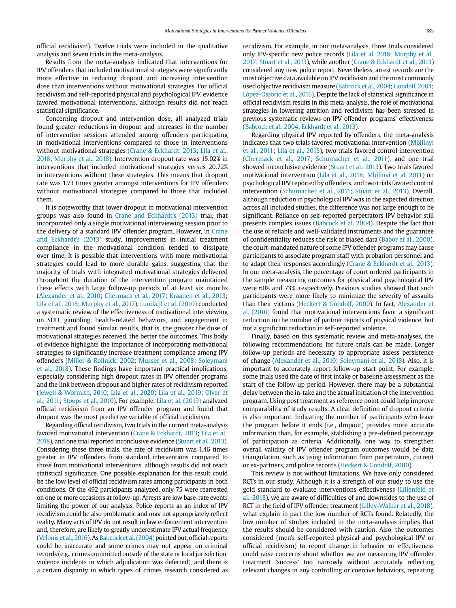official recidivism). Twelve trials were included in the qualitative analysis and seven trials in the meta-analysis.

Results from the meta-analysis indicated that interventions for IPV offenders that included motivational strategies were significantly more effective in reducing dropout and increasing intervention dose than interventions without motivational strategies. For official recidivism and self-reported physical and psychological IPV, evidence favored motivational interventions, although results did not reach statistical significance.

Concerning dropout and intervention dose, all analyzed trials found greater reductions in dropout and increases in the number of intervention sessions attended among offenders participating in motivational interventions compared to those in interventions without motivational strategies (Crane & Eckhardt, 2013; Lila et al., 2018; Murphy et al., 2018). Intervention dropout rate was 15.02% in interventions that included motivational strategies versus 20.72% in interventions without these strategies. This means that dropout rate was 1.73 times greater amongst interventions for IPV offenders without motivational strategies compared to those that included them.

It is noteworthy that lower dropout in motivational intervention groups was also found in Crane and Eckhardt's (2013) trial, that incorporated only a single motivational interviewing session prior to the delivery of a standard IPV offender program. However, in Crane and Eckhardt's (2013) study, improvements in initial treatment compliance in the motivational condition tended to dissipate over time. It is possible that interventions with more motivational strategies could lead to more durable gains, suggesting that the majority of trials with integrated motivational strategies delivered throughout the duration of the intervention program maintained these effects with large follow-up periods of at least six months (Alexander et al., 2010; Chermack et al., 2017; Kraanen et al., 2013; Lila et al., 2018; Murphy et al., 2017). Lundahl et al. (2010) conducted a systematic review of the effectiveness of motivational interviewing on SUD, gambling, health-related behaviors, and engagement in treatment and found similar results, that is, the greater the dose of motivational strategies received, the better the outcomes. This body of evidence highlights the importance of incorporating motivational strategies to significantly increase treatment compliance among IPV offenders (Miller & Rollnick, 2002; Musser et al., 2008; Soleymani et al., 2018). These findings have important practical implications, especially considering high dropout rates in IPV offender programs and the link between dropout and higher rates of recidivism reported (Jewell & Wormith, 2010; Lila et al., 2020; Lila et al., 2019; Olver et al., 2011; Stoops et al., 2010). For example, Lila et al. (2019) analyzed official recidivism from an IPV offender program and found that dropout was the most predictive variable of official recidivism.

Regarding official recidivism, two trials in the current meta-analysis favored motivational intervention (Crane & Eckhardt, 2013; Lila et al., 2018), and one trial reported inconclusive evidence (Stuart et al., 2013). Considering these three trials, the rate of recidivism was 1.46 times greater in IPV offenders from standard interventions compared to those from motivational interventions, although results did not reach statistical significance. One possible explanation for this result could be the low level of official recidivism rates among participants in both conditions. Of the 492 participants analyzed, only 75 were rearrested on one or more occasions at follow-up. Arrests are low base-rate events limiting the power of our analysis. Police reports as an index of IPV recidivism could be also problematic and may not appropriately reflect reality. Many acts of IPV do not result in law enforcement intervention and, therefore, are likely to greatly underestimate IPV actual frequency (Velonis et al., 2016). As Babcock et al. (2004) pointed out, official reports could be inaccurate and some crimes may not appear on criminal records (e.g., crimes committed outside of the state or local jurisdiction, violence incidents in which adjudication was deferred), and there is a certain disparity in which types of crimes research considered as recidivism. For example, in our meta-analysis, three trials considered only IPV-specific new police records (Lila et al. 2018; Murphy et al., 2017; Stuart et al., 2013), while another (Crane & Eckhardt et al., 2013) considered any new police report. Nevertheless, arrest records are the most objective data available on IPV recidivism and the most commonly used objective recidivism measure (Babcock et al., 2004; Gondolf, 2004; López-Ossorio et al., 2016). Despite the lack of statistical significance in official recidivism results in this meta-analysis, the role of motivational strategies in lowering attrition and recidivism has been stressed in previous systematic reviews on IPV offender programs' effectiveness (Babcock et al., 2004; Eckhardt et al., 2013).

Regarding physical IPV reported by offenders, the meta-analysis indicates that two trials favored motivational intervention (Mbilinyi et al., 2011; Lila et al., 2018), two trials favored control intervention (Chermack et al., 2017; Schumacher et al., 2011), and one trial showed inconclusive evidence (Stuart et al., 2013). Two trials favored motivational intervention (Lila et al., 2018; Mbilinyi et al, 2011) on psychological IPV reported by offenders, and two trials favored control intervention (Schumacher et al., 2011; Stuart et al., 2013). Overall, although reduction in psychological IPV was in the expected direction across all included studies, the difference was not large enough to be significant. Reliance on self-reported perpetrators IPV behavior still presents complex issues (Babcock et al. 2004). Despite the fact that the use of reliable and well-validated instruments and the guarantee of confidentiality reduces the risk of biased data (Babor et al., 2000), the court-mandated nature of some IPV offender programs may cause participants to associate program staff with probation personnel and to adapt their responses accordingly (Crane & Eckhardt et al., 2013). In our meta-analysis, the percentage of court ordered participants in the sample measuring outcomes for physical and psychological IPV were 60% and 73%, respectively. Previous studies showed that such participants were more likely to minimize the severity of assaults than their victims (Heckert & Gondolf, 2000). In fact, Alexander et al. (2010) found that motivational interventions favor a significant reduction in the number of partner reports of physical violence, but not a significant reduction in self-reported violence.

Finally, based on this systematic review and meta-analyses, the following recommendations for future trials can be made. Longer follow-up periods are necessary to appropriate assess persistence of change (Alexander et al., 2010; Soleymani et al., 2018). Also, it is important to accurately report follow-up start point. For example, some trials used the date of first intake or baseline assessment as the start of the follow-up period. However, there may be a substantial delay between the in-take and the actual initiation of the intervention program. Using post treatment as reference point could help improve comparability of study results. A clear definition of dropout criteria is also important. Indicating the number of participants who leave the program before it ends (i.e., dropout) provides more accurate information than, for example, stablishing a pre-defined percentage of participation as criteria. Additionally, one way to strengthen overall validity of IPV offender program outcomes would be data triangulation, such as using information from perpetrators, current or ex-partners, and police records (Heckert & Gondolf, 2000).

This review is not without limitations. We have only considered RCTs in our study. Although it is a strength of our study to use the gold standard to evaluate interventions effectiveness (Lilienfeld et al., 2018), we are aware of difficulties of and downsides to the use of RCT in the field of IPV offender treatment (Lilley-Walker et al., 2018), what explain in part the low number of RCTs found. Relatedly, the low number of studies included in the meta-analysis implies that the results should be considered with caution. Also, the outcomes considered (men's self-reported physical and psychological IPV or official recidivism) to report change in behavior or effectiveness could raise concerns about whether we are measuring IPV offender treatment 'success' too narrowly without accurately reflecting relevant changes in any controlling or coercive behaviors, repeating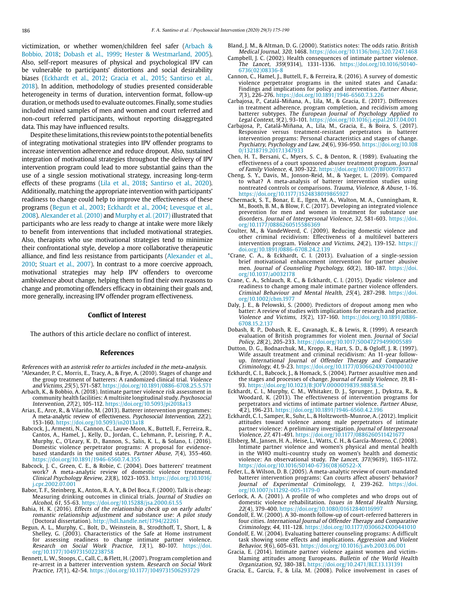victimization, or whether women/children feel safer (Arbach & Bobbio, 2018; Dobash et al., 1999; Hester & Westmarland, 2005). Also, self-report measures of physical and psychological IPV can be vulnerable to participants' distortions and social desirability biases (Eckhardt et al., 2012; Gracia et al., 2015; Santirso et al., 2018). In addition, methodology of studies presented considerable heterogeneity in terms of duration, intervention format, follow-up duration, or methods used to evaluate outcomes. Finally, some studies included mixed samples of men and women and court referred and non-court referred participants, without reporting disaggregated data. This may have influenced results.

Despite these limitations, this review points to the potential benefits of integrating motivational strategies into IPV offender programs to increase intervention adherence and reduce dropout. Also, sustained integration of motivational strategies throughout the delivery of IPV intervention program could lead to more substantial gains than the use of a single session motivational strategy, increasing long-term effects of these programs (Lila et al., 2018; Santirso et al., 2020). Additionally, matching the appropriate intervention with participants' readiness to change could help to improve the effectiveness of these programs (Begun et al., 2003; Eckhardt et al., 2004; Levesque et al., 2008). Alexander et al. (2010) and Murphy et al. (2017) illustrated that participants who are less ready to change at intake were more likely to benefit from interventions that included motivational strategies. Also, therapists who use motivational strategies tend to minimize their confrontational style, develop a more collaborative therapeutic alliance, and find less resistance from participants (Alexander et al., 2010; Stuart et al., 2007). In contrast to a more coercive approach, motivational strategies may help IPV offenders to overcome ambivalence about change, helping them to find their own reasons to change and promoting offenders efficacy in obtaining their goals and, more generally, increasing IPV offender program effectiveness.

### **Conflict of Interest**

The authors of this article declare no conflict of interest.

#### **References**

- References with an asterisk refer to articles included in the meta-analysis. \*Alexander, P. C., Morris, E., Tracy, A., & Frye, A. (2010). Stages of change and the group treatment of batterers: A randomized clinical trial. Violence
- and Victims, 25(5), 571-587. https://doi.org/10.1891/0886-6708.25.5.571 Arbach, K., & Bobbio, A. (2018). Intimate partner violence risk assessment in community health facilities: A multisite longitudinal study. Psychosocial
- Intervention, 27(2), 105-112. https://doi.org/10.5093/pi2018a13 Arias, E., Arce, R., & Vilariño, M. (2013). Batterer intervention programmes:
- A meta-analytic review of effectiveness. Psychosocial Intervention, 22(2), 153-160. https://doi.org/10.5093/in2013a18
- Babcock, J., Armenti, N., Cannon, C., Lauve-Moon, K., Buttell, F., Ferreira, R., Cantos, A., Hamel, J., Kelly, D., Jordan, C., Lehmann, P., Leisring, P. A., Murphy, C., O'Leary, K. D., Bannon, S., Salis, K. L., & Solano, I. (2016). Domestic violence perpetrator programs: A proposal for evidencebased standards in the united states. Partner Abuse, 7(4), 355-460. <https://doi.org/10.1891/1946-6560.7.4.355>
- Babcock, J. C., Green, C. E., & Robie, C. (2004). Does batterers' treatment work? A meta-analytic review of domestic violence treatment. Clinical Psychology Review, 23(8), 1023-1053. [https://doi.org/10.1016/](https://doi.org/10.1016/j.cpr.2002.07.001) [j.cpr.2002.07.001](https://doi.org/10.1016/j.cpr.2002.07.001)
- Babor, T. F., Steinberg, K., Anton, R. A. Y., & Del Boca, F. (2000). Talk is cheap: Measuring drinking outcomes in clinical trials. Journal of Studies on Alcohol, 61, 55-63. <https://doi.org/10.15288/jsa.2000.61.55>
- Bahia, H. K. (2016). Effects of the relationship check up on early adults' romantic relationship adjustment and substance use: A pilot study (Doctoral dissertation). http://hdl.handle.net/1794/22261
- Begun, A. L., Murphy, C., Bolt, D., Weinstein, B., Strodthoff, T., Short, L, & Shelley, G. (2003). Characteristics of the Safe at Home instrument for assessing readiness to change intimate partner violence. Research on Social Work Practice, 13(1), 80-107. https://doi. org/10.1177/1049731502238758
- Bennett, L. W., Stoops, C., Call, C., & Flett, H. (2007). Program completion and re-arrest in a batterer intervention system. Research on Social Work Practice, 17(1), 42-54. https://doi.org/10.1177/1049731506293729
- Bland, J. M., & Altman, D. G. (2000). Statistics notes: The odds ratio. British Medical Journal, 320, 1468. https://doi.org/[10.1136/bmj.320.7247.1468](https://doi.org/10.1136/bmj.320.7247.1468)
- Campbell, J. C. (2002). Health consequences of intimate partner violence. The Lancet, 359(9314), 1331-1336. [https://doi.org/10.1016/S0140-](https://doi.org/10.1016/S0140-6736(02)08336-8) [6736\(02\)08336-8](https://doi.org/10.1016/S0140-6736(02)08336-8)
- Cannon, C., Hamel, J., Buttell, F., & Ferreira, R. (2016). A survey of domestic violence perpetrator programs in the united states and Canada: Findings and implications for policy and intervention. Partner Abuse, 7(3), 226-276. https://doi.org/10.1891/1946-6560.7.3.226
- Carbajosa, P., Catalá-Miñana, A., Lila, M., & Gracia, E. (2017). Differences in treatment adherence, program completion, and recidivism among batterer subtypes. The European Journal of Psychology Applied to Legal Context, 9(2), 93-101. https://doi.org/10.1016/j.ejpal.2017.04.001
- Carbajosa, P., Catalá-Miñana, A., Lila, M., Gracia, E., & Boira, S. (2017). Responsive versus treatment-resistant perpetrators in batterer intervention programs: Personal characteristics and stages of change. Psychiatry, Psychology and Law, 24(6), 936-950. [https://doi.org/10.108](https://doi.org/10.1080/13218719.2017.1347933) [0/13218719.2017.1347933](https://doi.org/10.1080/13218719.2017.1347933)
- Chen, H. T., Bersani, C., Myers, S. C., & Denton, R. (1989). Evaluating the effectiveness of a court sponsored abuser treatment program. Journal of Family Violence, 4, 309-322. https://doi.org/10.1007/BF00978573
- Cheng, S. Y., Davis, M., Jonson-Reid, M., & Yaeger, L. (2019). Compared to what? A meta-analysis of batterer intervention studies using nontreated controls or comparisons. Trauma, Violence, & Abuse, 1-16. https://doi.org/10.1177/1524838019865927
- \*Chermack, S. T., Bonar, E. E., Ilgen, M. A., Walton, M. A., Cunningham, R. M., Booth, B. M., & Blow, F. C. (2017). Developing an integrated violence prevention for men and women in treatment for substance use disorders. Journal of Interpersonal Violence, 32, 581-603. [https://doi.](https://doi.org/10.1177/0886260515586369) [org/10.1177/0886260515586369](https://doi.org/10.1177/0886260515586369)
- Coulter, M., & VandeWeerd, C. (2009). Reducing domestic violence and other criminal recidivism: Effectiveness of a multilevel batterers intervention program. Violence and Victims, 24(2), 139-152. [https://](https://doi.org/10.1891/0886-6708.24.2.139) [doi.org/10.1891/0886-6708.24.2.139](https://doi.org/10.1891/0886-6708.24.2.139)
- \*Crane, C. A., & Eckhardt, C. I. (2013). Evaluation of a single-session brief motivational enhancement intervention for partner abusive men. Journal of Counseling Psychology, 60(2), 180-187. [https://doi.](https://doi.org/10.1037/a0032178) [org/10.1037/a0032178](https://doi.org/10.1037/a0032178)
- Crane, C. A., Schlauch, R. C., & Eckhardt, C. I. (2015). Dyadic violence and readiness to change among male intimate partner violence offenders. Criminal Behaviour and Mental Health, 25(4), 287-298. [https://doi.](https://doi.org/10.1002/cbm.1977) [org/10.1002/cbm.1977](https://doi.org/10.1002/cbm.1977)
- Daly, J. E., & Pelowski, S. (2000). Predictors of dropout among men who batter: A review of studies with implications for research and practice. Violence and Victims, 15(2), 137-160. https://doi.org/10.1891/0886- 6708.15.2.137
- Dobash, R. P., Dobash, R. E., Cavanagh, K., & Lewis, R. (1999). A research evaluation of British programmes for violent men. Journal of Social Policy, 28(2), 205-233. <https://doi.org/10.1017/S0047279499005589>
- Dutton, D. G., Bodnarchuk, M., Kropp, R., Hart, S. D., & Ogloff, J. R. (1997). Wife assault treatment and criminal recidivism: An 11-year followup. International Journal of Offender Therapy and Comparative Criminology, 41, 9-23. https://doi.org/10.1177/0306624X9704100102
- Eckhardt, C. I., Babcock, J., & Homack, S. (2004). Partner assaultive men and the stages and processes of change. Journal of Family Violence, 19, 81- 93. https://doi.org/10.1023/B:JOFV.0000019839.98858.5c
- Eckhardt, C. I., Murphy, C. M., Whitaker, D. J., Sprunger, J., Dykstra, R., & Woodard, K. (2013). The effectiveness of intervention programs for perpetrators and victims of intimate partner violence. Partner Abuse, 4(2), 196-231. https://doi.org/10.1891/1946-6560.4.2.196
- Eckhardt, C. I., Samper, R., Suhr, L., & Holtzworth-Munroe, A. (2012). Implicit attitudes toward violence among male perpetrators of intimate partner violence: A preliminary investigation. Journal of Interpersonal Violence, 27, 471-491. https://doi.org/10.1177/0886260511421677
- Ellsberg, M., Jansen, H. A., Heise, L., Watts, C. H., & García-Moreno, C. (2008). Intimate partner violence and women's physical and mental health in the WHO multi-country study on women's health and domestic violence: An observational study. The Lancet, 371(9619), 1165-1172. [https://doi.org/10.1016/S0140-6736\(08\)60522-X](https://doi.org/10.1016/S0140-6736(08)60522-X)
- Feder, L., & Wilson, D. B. (2005). A meta-analytic review of court-mandated batterer intervention programs: Can courts affect abusers' behavior? Journal of Experimental Criminology, 1, 239-262. [https://doi.](https://doi.org/10.1007/s11292-005-1179-0) [org/10.1007/s11292-005-1179-0](https://doi.org/10.1007/s11292-005-1179-0)
- Gerlock, A. A. (2001). A profile of who completes and who drops out of domestic violence rehabilitation. Issues in Mental Health Nursing, 22(4), 379-400. https://doi.org/10.1080/01612840116997
- Gondolf, E. W. (2000). A 30-month follow-up of court-referred batterers in four cities. International Journal of Offender Therapy and Comparative Criminology, 44, 111-128. https://doi.org/10.1177/0306624X00441010
- Gondolf, E. W. (2004). Evaluating batterer counseling programs: A difficult task showing some effects and implications. Aggression and Violent Behavior, 9(6), 605-631. https://doi.org/10.1016/j.avb.2003.06.001
- Gracia, E. (2014). Intimate partner violence against women and victimblaming attitudes among Europeans. Bulletin of the World Health Organization, 92, 380-381. https://doi.org/10.2471/BLT.13.131391

Gracia, E., Garcia, F., & Lila, M. (2008). Police involvement in cases of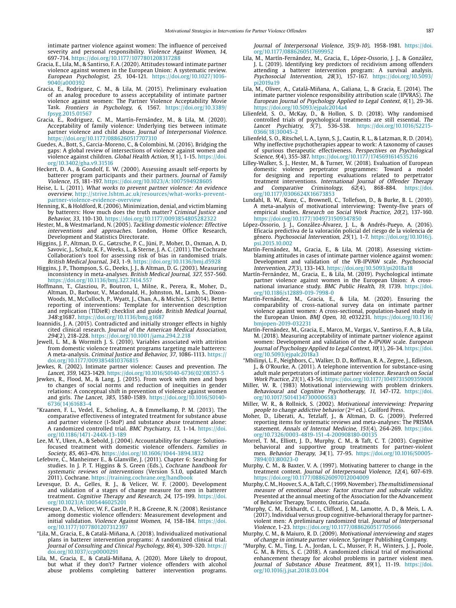intimate partner violence against women: The influence of perceived severity and personal responsibility. Violence Against Women, 14, 697-714. https://doi.org/10.1177/1077801208317288

- Gracia, E., Lila, M., & Santirso, F. A. (2020). Attitudes toward intimate partner violence against women in the European Union: A systematic review. European Psychologist, 25, 104-121. https://doi.org/10.1027/1016- 9040/a000392
- Gracia, E., Rodriguez, C. M., & Lila, M. (2015). Preliminary evaluation of an analog procedure to assess acceptability of intimate partner violence against women: The Partner Violence Acceptability Movie Task. Frontiers in Psychology, 6, 1567. [https://doi.org/10.3389/](https://doi.org/10.3389/fpsyg.2015.01567) [fpsyg.2015.01567](https://doi.org/10.3389/fpsyg.2015.01567)
- Gracia, E., Rodriguez, C. M., Martín-Fernández, M., & Lila, M. (2020). Acceptability of family violence: Underlying ties between intimate partner violence and child abuse. Journal of Interpersonal Violence. https://doi.org/10.1177/0886260517707310
- Guedes, A., Bott, S., Garcia-Moreno, C., & Colombini, M. (2016). Bridging the gaps: A global review of intersections of violence against women and violence against children. Global Health Action, 9(1), 1-15. https://doi. org/10.3402/gha.v9.31516
- Heckert, D. A., & Gondolf, E. W. (2000). Assessing assault self-reports by batterer program participants and their partners. Journal of Family Violence, 15, 181-197.<https://doi.org/10.1023/A:1007594928605>
- Heise, L. L. (2011). What works to prevent partner violence: An evidence overview.[http://strive.lshtm.ac.uk/resources/what-works-prevent](http://strive.lshtm.ac.uk/resources/what-works-prevent-partner-violence-evidence-overview)[partner-violence-evidence-overview](http://strive.lshtm.ac.uk/resources/what-works-prevent-partner-violence-evidence-overview)
- Henning, K., & Holdford, R. (2006). Minimization, denial, and victim blaming by batterers: How much does the truth matter? Criminal Justice and Behavior, 33, 110-130. https://doi.org/10.1177/0093854805282322
- Hester, M., & Westmarland, N. (2005). Tackling domestic violence: Effective interventions and approaches. London, Home Office Research, Development and Statistics Directorate.
- Higgins, J. P., Altman, D. G., Gøtzsche, P. C., Jüni, P., Moher, D., Oxman, A. D, Savovic, J., Schulz, K. F., Weeks, L., & Sterne, J. A. C. (2011). The Cochrane Collaboration's tool for assessing risk of bias in randomised trials. British Medical Journal, 343, 1-9. https://doi.org/10.1136/bmj.d5928
- Higgins, J. P., Thompson, S. G., Deeks, J. J., & Altman, D. G. (2003). Measuring inconsistency in meta-analyses. British Medical Journal, 327, 557-560. https://doi.org/10.1136/bmj.327.7414.557
- Hoffmann, T., Glasziou, P., Boutron, I., Milne, R., Perera, R., Moher, D., Altman, D., Barbour, V., Macdonald, H., Johnston, M., Lamb, S., Dixon-Woods, M., McCulloch, P., Wyatt, J., Chan, A., & Michie, S. (2014). Better reporting of interventions: Template for intervention description and replication (TIDieR) checklist and guide. British Medical Journal, 348:g1687. https://doi.org/10.1136/bmj.g1687
- Ioannidis, J. A. (2015). Contradicted and initially stronger effects in highly cited clinical research. Journal of the American Medical Association, 294(2), 218-228. https://doi.org/10.1001/jama.294.2.218
- Jewell, L. M., & Wormith J. S. (2010). Variables associated with attrition from domestic violence treatment programs targeting male batterers: A meta-analysis. Criminal Justice and Behavior, 37, 1086-1113. https:// doi.org/10.1177/0093854810376815
- Jewkes, R. (2002). Intimate partner violence: Causes and prevention. The Lancet, 359, 1423-1429. https://doi.org/10.1016/S0140-6736(02)08357-5
- Jewkes, R., Flood, M., & Lang, J. (2015). From work with men and boys to changes of social norms and reduction of inequities in gender relations: A conceptual shift in prevention of violence against women and girls. The Lancet, 385, 1580-1589. https://doi.org/10.1016/S0140- 6736(14)61683-4
- \*Kraanen, F. L., Vedel, E., Scholing, A., & Emmelkamp, P. M. (2013). The comparative effectiveness of integrated treatment for substance abuse and partner violence (I-StoP) and substance abuse treatment alone: A randomized controlled trial. BMC Psychiatry, 13, 1-14. [https://doi.](https://doi.org/10.1186/1471-244X-13-189) [org/10.1186/1471-244X-13-189](https://doi.org/10.1186/1471-244X-13-189)
- Lee, M. Y., Uken, A., & Sebold, J. (2004). Accountability for change: Solutionfocused treatment with domestic violence offenders. Families in Society, 85, 463-476. https://doi.org/10.1606/1044-3894.1832
- Lefebvre, C., Manheimer E., & Glanville, J. (2011). Chapter 6: Searching for studies. In J. P. T. Higgins & S. Green (Eds.), Cochrane handbook for systematic reviews of interventions (Version 5.1.0, updated March 2011). Cochrane. https://training.cochrane.org/handbook
- Levesque, D. A., Gelles, R. J., & Velicer, W. F. (2000). Development and validation of a stages of change measure for men in batterer treatment. Cognitive Therapy and Research, 24, 175-199. [https://doi.](https://doi.org/10.1023/A:1005446025201) [org/10.1023/A:1005446025201](https://doi.org/10.1023/A:1005446025201)
- Levesque, D. A., Velicer, W. F., Castle, P. H., & Greene, R. N. (2008). Resistance among domestic violence offenders: Measurement development and initial validation. Violence Against Women, 14, 158-184. [https://doi.](https://doi.org/10.1177/1077801207312397) [org/10.1177/1077801207312397](https://doi.org/10.1177/1077801207312397)
- \*Lila, M., Gracia, E., & Catalá-Miñana, A. (2018). Individualized motivational plans in batterer intervention programs: A randomized clinical trial. Journal of Consulting and Clinical Psychology, 86(4), 309-320. [https://](https://doi.org/10.1037/ccp0000291) [doi.org/10.1037/ccp0000291](https://doi.org/10.1037/ccp0000291)
- Lila, M., Gracia, E., & Catalá-Miñana, A. (2020). More Likely to dropout, but what if they don't? Partner violence offenders with alcohol abuse problems completing batterer intervention programs.

Journal of Interpersonal Violence, 35(9-10), 1958-1981. [https://doi.](https://doi.org/10.1177/0886260517699952) [org/10.1177/0886260517699952](https://doi.org/10.1177/0886260517699952)

- Lila, M., Martín-Fernández, M., Gracia, E., López-Ossorio, J. J., & González, J. L. (2019). Identifying key predictors of recidivism among offenders attending a batterer intervention program: A survival analysis. Psychosocial Intervention, 28(3), 157-167. [https://doi.org/10.5093/](https://doi.org/10.5093/pi2019a19) [pi2019a19](https://doi.org/10.5093/pi2019a19)
- Lila, M., Oliver, A., Catalá-Miñana, A., Galiana, L., & Gracia, E. (2014). The intimate partner violence responsibility attribution scale (IPVRAS). The European Journal of Psychology Applied to Legal Context, 6(1), 29-36. https://doi.org/10.5093/ejpalc2014a4
- Lilienfeld, S. O., McKay, D., & Hollon, S. D. (2018). Why randomised controlled trials of psychological treatments are still essential. The Lancet Psychiatry, 5(7), 536-538. https://doi.org/10.1016/S2215- 0366(18)30045-2
- Lilienfeld, S. O., Ritschel, L. A., Lynn, S. J., Cautin, R. L., & Latzman, R. D. (2014). Why ineffective psychotherapies appear to work: A taxonomy of causes of spurious therapeutic effectiveness. Perspectives on Psychological Science, 9(4), 355-387. https://doi.org/10.1177/1745691614535216
- Lilley-Walker, S. J., Hester, M., & Turner, W. (2018). Evaluation of European domestic violence perpetrator programmes: Toward a model for designing and reporting evaluations related to perpetrator treatment interventions. International Journal of Offender Therapy and Comparative Criminology, 62(4), 868-884. [https://doi.](https://doi.org/10.1177/0306624X16673853) [org/10.1177/0306624X16673853](https://doi.org/10.1177/0306624X16673853)
- Lundahl, B. W., Kunz, C., Brownell, C., Tollefson, D., & Burke, B. L. (2010). A meta-analysis of motivational interviewing: Twenty-five years of empirical studies. Research on Social Work Practice, 20(2), 137-160. <https://doi.org/10.1177/1049731509347850>
- López-Ossorio, J. J., González-Álvarez, J. L., & Andrés-Pueyo, A. (2016). Eficacia predictiva de la valoración policial del riesgo de la violencia de género. Psychosocial Intervention, 25(1), 1-7. [https://doi.org/10.1016/j.](https://doi.org/10.1016/j.psi.2015.10.002) [psi.2015.10.002](https://doi.org/10.1016/j.psi.2015.10.002)
- Martín-Fernández, M., Gracia, E., & Lila, M. (2018). Assessing victimblaming attitudes in cases of intimate partner violence against women: Development and validation of the VB-IPVAW scale. Psychosocial Intervention, 27(3), 133-143. https://doi.org/10.5093/pi2018a18
- Martín-Fernández, M., Gracia, E., & Lila, M. (2019). Psychological intimate partner violence against women in the European Union: A crossnational invariance study. BMC Public Health, 19, 1739. [https://doi.](https://doi.org/10.1186/s12889-019-7998-0) [org/10.1186/s12889-019-7998-0](https://doi.org/10.1186/s12889-019-7998-0)
- Martín-Fernández, M., Gracia, E., & Lila, M. (2020). Ensuring the comparability of cross-national survey data on intimate partner violence against women: A cross-sectional, population-based study in the European Union. BMJ Open, 10, e032231. [https://doi.org/10.1136/](https://doi.org/10.1136/bmjopen-2019-032231) [bmjopen-2019-032231](https://doi.org/10.1136/bmjopen-2019-032231)
- Martín-Fernández, M., Gracia, E., Marco, M., Vargas, V., Santirso, F. A., & Lila, M. (2018). Measuring acceptability of intimate partner violence against women: Development and validation of the A-IPVAW scale. European Journal of Psychology Applied to Legal Context, 10(1), 26-34. [https://doi.](https://doi.org/10.5093/ejpalc2018a3) [org/10.5093/ejpalc2018a3](https://doi.org/10.5093/ejpalc2018a3)
- \*Mbilinyi, L. F., Neighbors, C., Walker, D. D., Roffman, R. A., Zegree, J., Edleson, J., & O'Rourke, A. (2011). A telephone intervention for substance-using adult male perpetrators of intimate partner violence. Research on Social Work Practice, 21(1), 43-56. https://doi.org/10.1177/1049731509359008
- Miller, W. R. (1983) Motivational interviewing with problem drinkers. Behavioural and Cognitive Psychotherapy, 11, 147-172. [https://doi.](https://doi.org/10.1017/S0141347300006583) [org/10.1017/S0141347300006583](https://doi.org/10.1017/S0141347300006583)
- Miller, W. R., & Rollnick, S. (2002). Motivational interviewing: Preparing people to change addictive behavior (2<sup>nd</sup> ed.). Guilford Press.
- Moher, D., Liberati, A., Tetzlaff, J., & Altman, D. G. (2009). Preferred reporting items for systematic reviews and meta-analyses: The PRISMA statement. Annals of Internal Medicine, 151(4), 264-269. https://doi. org/10.7326/0003-4819-151-4-200908180-00135
- Morrel, T. M., Elliott, J. D., Murphy, C. M., & Taft, C. T. (2003). Cognitive behavioral and supportive group treatments for partner-violent men. Behavior Therapy, 34(1), 77-95. https://doi.org/10.1016/S0005- 7894(03)80023-0
- Murphy, C. M., & Baxter, V. A. (1997). Motivating batterer to change in the treatment context. Journal of Interpersonal Violence, 12(4), 607-619. https://doi.org/10.1177/088626097012004009
- Murphy, C. M., Hoover, S. A., & Taft, C. (1999, November). The multidimensional measure of emotional abuse: Factor structure and subscale validity. Presented at the annual meeting of the Association for the Advancement of Behavior Therapy, Toronto, Ontario, Canada.
- \*Murphy, C. M., Eckhardt, C. I., Clifford, J. M., Lamotte, A. D., & Meis, L. A. (2017). Individual versus group cognitive-behavioral therapy for partnerviolent men: A preliminary randomized trial. Journal of Interpersonal Violence, 1-23.<https://doi.org/10.1177/0886260517705666>
- Murphy, C. M., & Maiuro, R. D. (2009). Motivational interviewing and stages of change in intimate partner violence. Springer Publishing Company.
- \*Murphy, C. M., Ting, L. A., Jordan, L. C., Musser, P. H., Winters, J. J., Poole, G. M., & Pitts, S. C. (2018). A randomized clinical trial of motivational enhancement therapy for alcohol problems in partner violent men. Journal of Substance Abuse Treatment, 89(1), 11-19. [https://doi.](https://doi.org/10.1016/j.jsat.2018.03.004) [org/10.1016/j.jsat.2018.03.004](https://doi.org/10.1016/j.jsat.2018.03.004)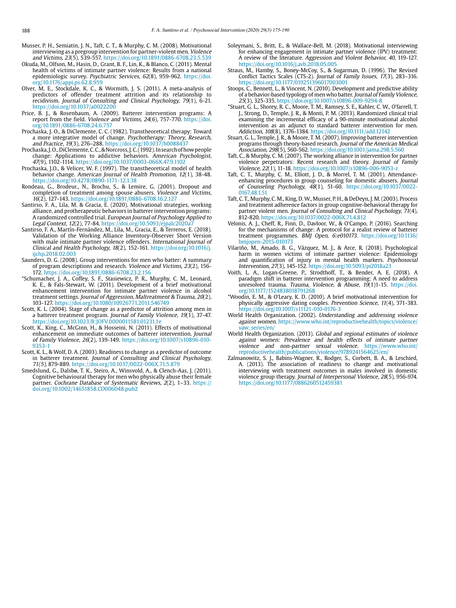- Musser, P. H., Semiatin, J. N., Taft, C. T., & Murphy, C. M. (2008). Motivational interviewing as a pregroup intervention for partner-violent men. Violence and Victims, 23(5), 539-557. https://doi.org/10.1891/0886-6708.23.5.539
- Okuda, M., Olfson, M., Hasin, D., Grant, B. F., Lin, K., & Blanco, C. (2011). Mental health of victims of intimate partner violence: Results from a national epidemiologic survey. Psychiatric Services, 62(8), 959-962[. https://doi.](http://invalid.uri) [org/10.1176/appi.ps.62.8.959](http://invalid.uri)
- Olver, M. E., Stockdale, K. C., & Wormith, J. S. (2011). A meta-analysis of predictors of offender treatment attrition and its relationship to recidivism. Journal of Consulting and Clinical Psychology, 79(1), 6-21. https://doi.org/10.1037/a0022200
- Price, B. J., & Rosenbaum, A. (2009). Batterer intervention programs: A report from the field. Violence and Victims, 24(6), 757-770. [https://doi.](https://doi.org/10.1891/0886-6708.24.6.757) [org/10.1891/0886-6708.24.6.757](https://doi.org/10.1891/0886-6708.24.6.757)
- Prochaska, J. O., & DiClemente, C. C. (1982). Transtheoretical therapy: Toward a more integrative model of change. Psychotherapy: Theory, Research, and Practice, 19(3), 276–288. https://doi.org/10.1037/h0088437
- Prochaska, J. O., DiClemente, C. C., & Norcross, J. C. (1992). In search of how people change: Applications to addictive behaviors. American Psychologist, 47(9), 1102-1114. <https://doi.org/10.1037/0003-066X.47.9.1102>
- Prochaska, J.O., & Velicer, W. F. (1997). The transtheoretical model of health behavior change. American Journal of Health Promotion, 12(1), 38-48. https://doi.org/10.4278/0890-1171-12.1.38
- Rondeau, G., Brodeur., N., Brochu, S., & Lemire, G. (2001). Dropout and completion of treatment among spouse abusers. Violence and Victims, 16(2), 127-143. https://doi.org/10.1891/0886-6708.16.2.127
- Santirso, F. A., Lila, M. & Gracia, E. (2020). Motivational strategies, working alliance, and protherapeutic behaviors in batterer intervention programs: A randomized controlled trial. European Journal of Psychology Applied to
- Legal Context, 12(2), 77-84. <https://doi.org/10.5093/ejpalc2020a7> Santirso, F. A., Martín-Fernández, M., Lila, M., Gracia, E., & Terreros, E. (2018). Validation of the Working Alliance Inventory-Observer Short Version with male intimate partner violence offenders. International Journal of Clinical and Health Psychology, 18(2), 152-161. [https://doi.org/10.1016/j.](https://doi.org/10.1016/j.ijchp.2018.02.003) iichp.2018.02.003
- Saunders, D. G. (2008). Group interventions for men who batter: A summary of program descriptions and research. Violence and Victims, 23(2), 156- 172. https://doi.org/10.1891/0886-6708.23.2.156
- \*Schumacher, J. A., Coffey, S. F., Stasiewicz, P. R., Murphy, C. M., Leonard, K. E., & Fals-Stewart, W. (2011). Development of a brief motivational enhancement intervention for intimate partner violence in alcohol treatment settings. Journal of Aggression, Maltreatment & Trauma, 20(2), 103-127. <https://doi.org/10.1080/10926771.2011.546749>
- Scott, K. L. (2004). Stage of change as a predictor of attrition among men in a batterer treatment program. Journal of Family Violence,  $19(1)$ , 37-47. <https://doi.org/10.1023/B:JOFV.0000011581.01231.1e>
- Scott, K., King, C., McGinn, H., & Hosseini, N. (2011). Effects of motivational enhancement on immediate outcomes of batterer intervention. Journal of Family Violence, 26(2), 139-149. https://doi.org/10.1007/s10896-010- 9353-1
- Scott, K. L., & Wolf, D. A. (2003). Readiness to change as a predictor of outcome in batterer treatment. Journal of Consulting and Clinical Psychology, 71(5), 879-889. https://doi.org/10.1037/0022-006X.71.5.879
- Smedslund, G., Dalsbø, T. K., Steiro, A., Winsvold, A., & Clench-Aas, J. (2011). Cognitive behavioural therapy for men who physically abuse their female partner. Cochrane Database of Systematic Reviews, 2(2), 1–33. https:// doi.org/10.1002/14651858.CD006048.pub2
- Soleymani, S., Britt, E., & Wallace-Bell, M. (2018). Motivational interviewing for enhancing engagement in intimate partner violence (IPV) treatment: A review of the literature. Aggression and Violent Behavior, 40, 119-127. https://doi.org/10.1016/j.avb.2018.05.005
- Straus, M., Hamby, S., Boney-McCoy, S., & Sugarman, D. (1996). The Revised Conflict Tactics Scales (CTS-2). Journal of Family Issues, 17(3), 283–316. https://doi.org/10.1177/019251396017003001
- Stoops, C., Bennett, L., & Vincent, N. (2010). Development and predictive ability of a behavior-based typology of men who batter. Journal of Family Violence, 25(3), 325-335. <https://doi.org/10.1007/s10896-009-9294-8>
- \*Stuart, G. L., Shorey, R. C., Moore, T. M., Ramsey, S. E., Kahler, C. W., O'farrell, T. J., Strong, D., Temple, J. R., & Monti, P. M. (2013). Randomized clinical trial examining the incremental efficacy of a 90-minute motivational alcohol intervention as an adjunct to standard batterer intervention for men. Addiction, 108(8), 1376-1384. https://doi.org/10.1111/add.12142
- Stuart, G. L., Temple, J. R., & Moore, T. M. (2007). Improving batterer intervention programs through theory-based research. Journal of the American Medical Association, 298(5), 560-562.<https://doi.org/10.1001/jama.298.5.560>
- Taft, C., & Murphy, C. M. (2007). The working alliance in intervention for partner violence perpetrators: Recent research and theory. Journal of Family Violence, 22(1), 11-18. https://doi.org/10.1007/s10896-006-9053-z
- Taft, C. T., Murphy, C. M., Elliott, J. D., & Morrel, T. M. (2001). Attendanceenhancing procedures in group counseling for domestic abusers. Journal of Counseling Psychology, 48(1), 51-60. https://doi.org/10.1037/0022- 016748151
- Taft, C. T., Murphy, C. M., King, D. W., Musser, P. H., & DeDeyn, J. M. (2003). Process and treatment adherence factors in group cognitive-behavioral therapy for partner violent men. Journal of Consulting and Clinical Psychology, 71(4), 812-820. https://doi.org/10.1037/0022-006X.71.4.812
- Velonis, A. J., Cheff, R., Finn, D., Davloor, W., & O'Campo, P. (2016). Searching for the mechanisms of change: A protocol for a realist review of batterer treatment programmes. BMJ Open, 6:e010173. [https://doi.org/10.1136/](https://doi.org/10.1136/bmjopen-2015-010173) [bmjopen-2015-010173](https://doi.org/10.1136/bmjopen-2015-010173)
- Vilariño, M., Amado, B. G., Vázquez, M. J., & Arce, R. (2018). Psychological harm in women victims of intimate partner violence: Epidemiology and quantification of injury in mental health markers. Psychosocial Intervention, 27(3), 145-152.<https://doi.org/10.5093/pi2018a23>
- Voith, L. A., Logan-Greene, P., Strodthoff, T., & Bender, A. E. (2018). A paradigm shift in batterer intervention programming: A need to address unresolved trauma. Trauma, Violence, & Abuse, 19(1)1-15. [https://doi.](https://doi.org/10.1177/1524838018791268) [org/10.1177/1524838018791268](https://doi.org/10.1177/1524838018791268)
- \*Woodin, E. M., & O'Leary, K. D. (2010). A brief motivational intervention for physically aggressive dating couples. Prevention Science, 11(4), 371-383. <https://doi.org/10.1007/s11121-010-0176-3>
- World Health Organization. (2002). Understanding and addressing violence against women. [https://www.who.int/reproductivehealth/topics/violence/](https://www.who.int/reproductivehealth/topics/violence/vaw_series/en/) [vaw\\_series/en/](https://www.who.int/reproductivehealth/topics/violence/vaw_series/en/)
- World Health Organization. (2013). Global and regional estimates of violence against women: Prevalence and health effects of intimate partner violence and non-partner sexual violence. [https://www.who.int/](https://www.who.int/reproductivehealth/publications/violence/9789241564625/en/) [reproductivehealth/publications/violence/9789241564625/en/](https://www.who.int/reproductivehealth/publications/violence/9789241564625/en/)
- Zalmanowitz, S. J., Babins-Wagner, R., Rodger, S., Corbett, B. A., & Leschied, A. (2013). The association of readiness to change and motivational interviewing with treatment outcomes in males involved in domestic violence group therapy. Journal of Interpersonal Violence, 28(5), 956-974. https://doi.org/10.1177/0886260512459381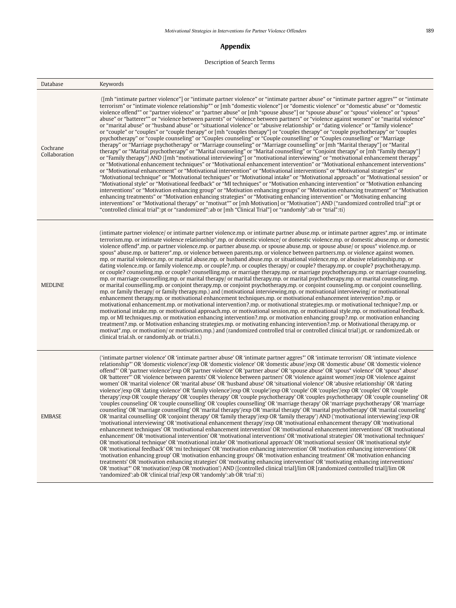### **Appendix**

# Description of Search Terms

| Database                  | Keywords                                                                                                                                                                                                                                                                                                                                                                                                                                                                                                                                                                                                                                                                                                                                                                                                                                                                                                                                                                                                                                                                                                                                                                                                                                                                                                                                                                                                                                                                                                                                                                                                                                                                                                                                                                                                                                                                                                                                                                                                                                                                                                                                                                                                                                                                                                                                                                                                                                                                                                                                                               |
|---------------------------|------------------------------------------------------------------------------------------------------------------------------------------------------------------------------------------------------------------------------------------------------------------------------------------------------------------------------------------------------------------------------------------------------------------------------------------------------------------------------------------------------------------------------------------------------------------------------------------------------------------------------------------------------------------------------------------------------------------------------------------------------------------------------------------------------------------------------------------------------------------------------------------------------------------------------------------------------------------------------------------------------------------------------------------------------------------------------------------------------------------------------------------------------------------------------------------------------------------------------------------------------------------------------------------------------------------------------------------------------------------------------------------------------------------------------------------------------------------------------------------------------------------------------------------------------------------------------------------------------------------------------------------------------------------------------------------------------------------------------------------------------------------------------------------------------------------------------------------------------------------------------------------------------------------------------------------------------------------------------------------------------------------------------------------------------------------------------------------------------------------------------------------------------------------------------------------------------------------------------------------------------------------------------------------------------------------------------------------------------------------------------------------------------------------------------------------------------------------------------------------------------------------------------------------------------------------------|
| Cochrane<br>Collaboration | (Imh "intimate partner violence") or "intimate partner violence" or "intimate partner abuse" or "intimate partner aggres*" or "intimate<br>terrorism" or "intimate violence relationship*" or [mh "domestic violence"] or "domestic violence" or "domestic abuse" or "domestic<br>violence offend*" or "partner violence" or "partner abuse" or [mh "spouse abuse"] or "spouse abuse" or "spous* violence" or "spous*<br>abuse" or "batterer*" or "violence between parents" or "violence between partners" or "violence against women" or "marital violence"<br>or "marital abuse" or "husband abuse" or "situational violence" or "abusive relationship" or "dating violence" or "family violence"<br>or "couple" or "couples" or "couple therapy" or [mh "couples therapy"] or "couples therapy" or "couple psychotherapy" or "couples<br>psychotherapy" or "couple counseling" or "Couples counseling" or "Couple counselling" or "Couples counselling" or "Marriage<br>therapy" or "Marriage psychotherapy" or "Marriage counseling" or "Marriage counselling" or [mh "Marital therapy"] or "Marital<br>therapy" or "Marital psychotherapy" or "Marital counseling" or "Marital counselling" or "Conjoint therapy" or [mh "Family therapy"]<br>or "Family therapy") AND ([mh "motivational interviewing"] or "motivational interviewing" or "motivational enhancement therapy"<br>or "Motivational enhancement techniques" or "Motivational enhancement intervention" or "Motivational enhancement interventions"<br>or "Motivational enhancement" or "Motivational intervention" or "Motivational interventions" or "Motivational strategies" or<br>"Motivational technique" or "Motivational techniques" or "Motivational intake" or "Motivational approach" or "Motivational session" or<br>"Motivational style" or "Motivational feedback" or "MI techniques" or "Motivation enhancing intervention" or "Motivation enhancing<br>interventions" or "Motivation enhancing group" or "Motivation enhancing groups" or "Motivation enhancing treatment" or "Motivation<br>enhancing treatments" or "Motivation enhancing strategies" or "Motivating enhancing intervention" or "Motivating enhancing<br>interventions" or "Motivational therapy" or "motivat*" or [mh Motivation] or "Motivation") AND ("randomized controlled trial":pt or<br>"controlled clinical trial":pt or "randomized":ab or [mh "Clinical Trial"] or "randomly":ab or "trial":ti)                                                                                                        |
| <b>MEDLINE</b>            | (intimate partner violence/ or intimate partner violence.mp. or intimate partner abuse.mp. or intimate partner aggres*.mp. or intimate<br>terrorism.mp. or intimate violence relationship*.mp. or domestic violence/ or domestic violence.mp. or domestic abuse.mp. or domestic<br>violence offend <sup>*</sup> ,mp, or partner violence,mp, or partner abuse,mp, or spouse abuse,mp, or spouse abuse/ or spous <sup>*</sup> violence,mp, or<br>spous* abuse, mp. or batterer*, mp. or violence between parents, mp. or violence between partners, mp. or violence against women,<br>mp. or marital violence.mp. or marital abuse.mp. or husband abuse.mp. or situational violence.mp. or abusive relationship.mp. or<br>dating violence.mp. or family violence.mp. or couple?.mp. or couples therapy/ or couple? therapy.mp. or couple? psychotherapy.mp.<br>or couple? counseling, mp. or couple? counselling, mp. or marriage therapy, mp. or marriage psychotherapy, mp. or marriage counseling,<br>mp. or marriage counselling.mp. or marital therapy/ or marital therapy.mp. or marital psychotherapy.mp. or marital counseling.mp.<br>or marital counselling mp, or conjoint therapy mp, or conjoint psychotherapy mp, or conjoint counseling mp, or conjoint counselling.<br>mp, or family therapy/ or family therapy,mp.) and (motivational interviewing,mp, or motivational interviewing/ or motivational<br>enhancement therapy.mp. or motivational enhancement techniques.mp. or motivational enhancement intervention?.mp. or<br>motivational enhancement.mp. or motivational intervention?.mp. or motivational strategies.mp. or motivational technique?.mp. or<br>motivational intake.mp. or motivational approach.mp. or motivational session.mp. or motivational style.mp. or motivational feedback.<br>mp. or MI techniques.mp. or motivation enhancing intervention?.mp. or motivation enhancing group?.mp. or motivation enhancing<br>treatment?.mp. or Motivation enhancing strategies.mp. or motivating enhancing intervention?.mp. or Motivational therapy.mp. or<br>motivat*.mp. or motivation/ or motivation.mp.) and (randomized controlled trial or controlled clinical trial).pt. or randomized.ab. or<br>clinical trial.sh. or randomly.ab. or trial.ti.)                                                                                                                                                                                                                                                                                 |
| <b>EMBASE</b>             | ('intimate partner violence' OR 'intimate partner abuse' OR 'intimate partner aggres*' OR 'intimate terrorism' OR 'intimate violence<br>relationship*' OR 'domestic violence'/exp OR 'domestic violence' OR 'domestic abuse'/exp OR 'domestic abuse' OR 'domestic violence<br>offend*' OR 'partner violence'/exp OR 'partner violence' OR 'partner abuse' OR 'spouse abuse' OR 'spous* violence' OR 'spous* abuse'<br>OR 'batterer*' OR 'violence between parents' OR 'violence between partners' OR 'violence against women'/exp OR 'violence against<br>women' OR 'marital violence' OR 'marital abuse' OR 'husband abuse' OR 'situational violence' OR 'abusive relationship' OR 'dating<br>violence'/exp OR 'dating violence' OR 'family violence'/exp OR 'couple'/exp OR 'couple' OR 'couples'/exp OR 'couples' OR 'couple<br>therapy'/exp OR 'couple therapy' OR 'couples therapy' OR 'couple psychotherapy' OR 'couples psychotherapy' OR 'couple counseling' OR<br>'couples counseling' OR 'couple counselling' OR 'couples counselling' OR 'marriage therapy' OR 'marriage psychotherapy' OR 'marriage<br>counseling' OR 'marriage counselling' OR 'marital therapy'/exp OR 'marital therapy' OR 'marital psychotherapy' OR 'marital counseling'<br>OR 'marital counselling' OR 'conjoint therapy' OR 'family therapy'/exp OR 'family therapy') AND ('motivational interviewing'/exp OR<br>'motivational interviewing' OR 'motivational enhancement therapy'/exp OR 'motivational enhancement therapy' OR 'motivational<br>enhancement techniques' OR 'motivational enhancement intervention' OR 'motivational enhancement interventions' OR 'motivational<br>enhancement' OR 'motivational intervention' OR 'motivational interventions' OR 'motivational strategies' OR 'motivational techniques'<br>OR 'motivational technique' OR 'motivational intake' OR 'motivational approach' OR 'motivational session' OR 'motivational style'<br>OR 'motivational feedback' OR 'mi techniques' OR 'motivation enhancing intervention' OR 'motivation enhancing interventions' OR<br>'motivation enhancing group' OR 'motivation enhancing groups' OR 'motivation enhancing treatment' OR 'motivation enhancing<br>treatments' OR 'motivation enhancing strategies' OR 'motivating enhancing intervention' OR 'motivating enhancing interventions'<br>OR 'motivat*' OR 'motivation'/exp OR 'motivation') AND ([controlled clinical trial]/lim OR [randomized controlled trial]/lim OR<br>'randomized': ab OR 'clinical trial'/exp OR 'randomly': ab OR 'trial': ti) |